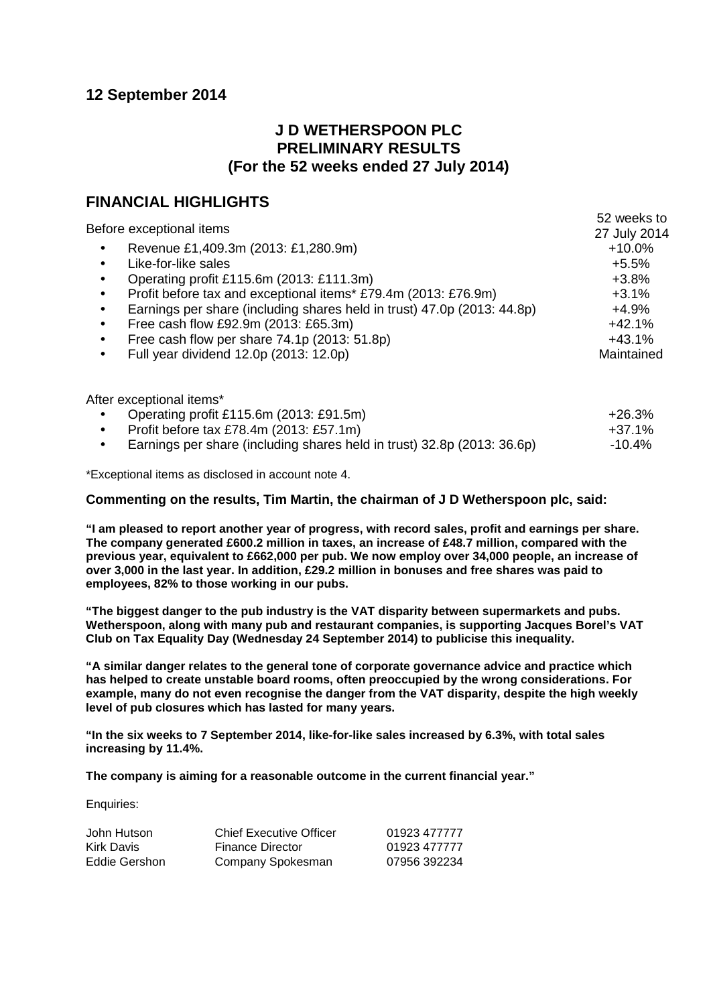# **12 September 2014**

# **J D WETHERSPOON PLC PRELIMINARY RESULTS (For the 52 weeks ended 27 July 2014)**

# **FINANCIAL HIGHLIGHTS**

|                                                                                      | 52 weeks to  |
|--------------------------------------------------------------------------------------|--------------|
| Before exceptional items                                                             | 27 July 2014 |
| Revenue £1,409.3m (2013: £1,280.9m)<br>$\bullet$                                     | $+10.0%$     |
| Like-for-like sales<br>٠                                                             | $+5.5%$      |
| Operating profit £115.6m (2013: £111.3m)<br>$\bullet$                                | $+3.8%$      |
| Profit before tax and exceptional items* £79.4m (2013: £76.9m)<br>$\bullet$          | $+3.1%$      |
| Earnings per share (including shares held in trust) 47.0p (2013: 44.8p)<br>$\bullet$ | $+4.9%$      |
| Free cash flow £92.9m (2013: £65.3m)<br>٠                                            | $+42.1%$     |
| Free cash flow per share 74.1p (2013: 51.8p)                                         | $+43.1%$     |
| Full year dividend 12.0p (2013: 12.0p)<br>$\bullet$                                  | Maintained   |
| After exceptional items*                                                             |              |
| Operating profit £115.6m (2013: £91.5m)                                              | $+26.3%$     |
| Profit before tax £78.4m (2013: £57.1m)<br>٠                                         | $+37.1%$     |
| Earnings per share (including shares held in trust) 32.8p (2013: 36.6p)<br>$\bullet$ | $-10.4%$     |

\*Exceptional items as disclosed in account note 4.

### **Commenting on the results, Tim Martin, the chairman of J D Wetherspoon plc, said:**

**"I am pleased to report another year of progress, with record sales, profit and earnings per share. The company generated £600.2 million in taxes, an increase of £48.7 million, compared with the previous year, equivalent to £662,000 per pub. We now employ over 34,000 people, an increase of over 3,000 in the last year. In addition, £29.2 million in bonuses and free shares was paid to employees, 82% to those working in our pubs.**

**"The biggest danger to the pub industry is the VAT disparity between supermarkets and pubs. Wetherspoon, along with many pub and restaurant companies, is supporting Jacques Borel's VAT Club on Tax Equality Day (Wednesday 24 September 2014) to publicise this inequality.**

**"A similar danger relates to the general tone of corporate governance advice and practice which has helped to create unstable board rooms, often preoccupied by the wrong considerations. For example, many do not even recognise the danger from the VAT disparity, despite the high weekly level of pub closures which has lasted for many years.**

**"In the six weeks to 7 September 2014, like-for-like sales increased by 6.3%, with total sales increasing by 11.4%.** 

**The company is aiming for a reasonable outcome in the current financial year."**

Enquiries:

| John Hutson   | <b>Chief Executive Officer</b> | 01923 477777 |
|---------------|--------------------------------|--------------|
| Kirk Davis    | <b>Finance Director</b>        | 01923 477777 |
| Eddie Gershon | Company Spokesman              | 07956 392234 |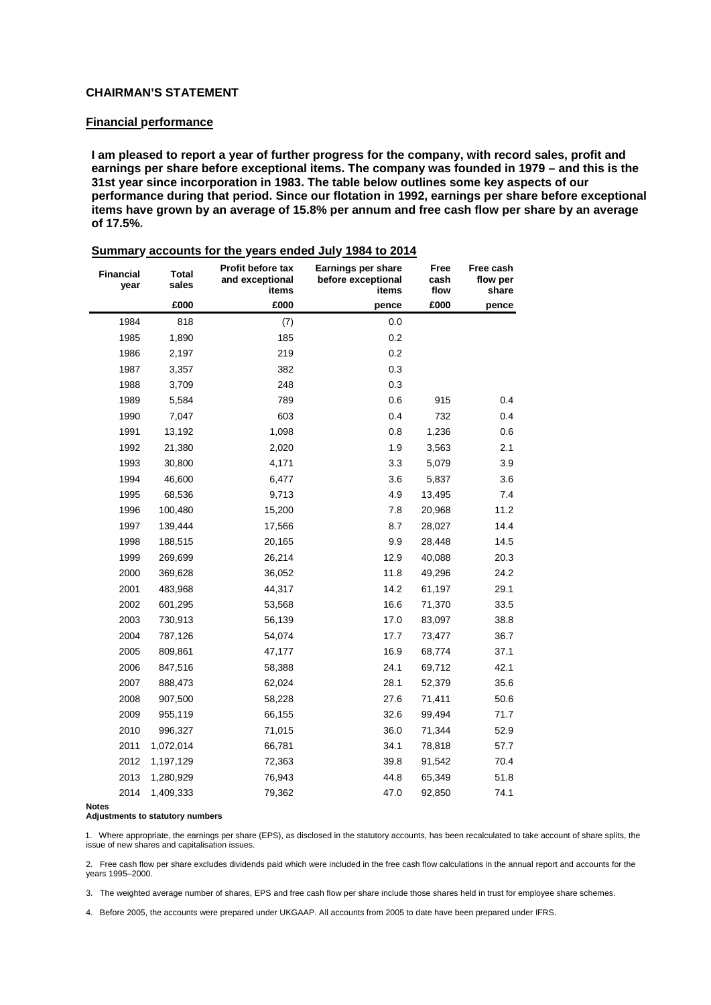### **CHAIRMAN'S STATEMENT**

#### **Financial performance**

**I am pleased to report a year of further progress for the company, with record sales, profit and earnings per share before exceptional items. The company was founded in 1979 – and this is the 31st year since incorporation in 1983. The table below outlines some key aspects of our performance during that period. Since our flotation in 1992, earnings per share before exceptional items have grown by an average of 15.8% per annum and free cash flow per share by an average of 17.5%.**

| <b>Financial</b><br>year | <b>Total</b><br>sales | <b>Profit before tax</b><br>and exceptional<br>items | Earnings per share<br>before exceptional<br>items | Free<br>cash<br>flow | Free cash<br>flow per<br>share |
|--------------------------|-----------------------|------------------------------------------------------|---------------------------------------------------|----------------------|--------------------------------|
|                          | £000                  | £000                                                 | pence                                             | £000                 | pence                          |
| 1984                     | 818                   | (7)                                                  | 0.0                                               |                      |                                |
| 1985                     | 1,890                 | 185                                                  | 0.2                                               |                      |                                |
| 1986                     | 2,197                 | 219                                                  | 0.2                                               |                      |                                |
| 1987                     | 3,357                 | 382                                                  | 0.3                                               |                      |                                |
| 1988                     | 3,709                 | 248                                                  | 0.3                                               |                      |                                |
| 1989                     | 5,584                 | 789                                                  | 0.6                                               | 915                  | 0.4                            |
| 1990                     | 7,047                 | 603                                                  | 0.4                                               | 732                  | 0.4                            |
| 1991                     | 13,192                | 1,098                                                | 0.8                                               | 1,236                | 0.6                            |
| 1992                     | 21,380                | 2,020                                                | 1.9                                               | 3,563                | 2.1                            |
| 1993                     | 30,800                | 4,171                                                | 3.3                                               | 5,079                | 3.9                            |
| 1994                     | 46,600                | 6,477                                                | 3.6                                               | 5,837                | 3.6                            |
| 1995                     | 68,536                | 9,713                                                | 4.9                                               | 13,495               | 7.4                            |
| 1996                     | 100,480               | 15,200                                               | 7.8                                               | 20,968               | 11.2                           |
| 1997                     | 139,444               | 17,566                                               | 8.7                                               | 28,027               | 14.4                           |
| 1998                     | 188,515               | 20,165                                               | 9.9                                               | 28,448               | 14.5                           |
| 1999                     | 269,699               | 26,214                                               | 12.9                                              | 40,088               | 20.3                           |
| 2000                     | 369,628               | 36,052                                               | 11.8                                              | 49,296               | 24.2                           |
| 2001                     | 483,968               | 44,317                                               | 14.2                                              | 61,197               | 29.1                           |
| 2002                     | 601,295               | 53,568                                               | 16.6                                              | 71,370               | 33.5                           |
| 2003                     | 730,913               | 56,139                                               | 17.0                                              | 83,097               | 38.8                           |
| 2004                     | 787,126               | 54,074                                               | 17.7                                              | 73,477               | 36.7                           |
| 2005                     | 809,861               | 47,177                                               | 16.9                                              | 68,774               | 37.1                           |
| 2006                     | 847,516               | 58,388                                               | 24.1                                              | 69,712               | 42.1                           |
| 2007                     | 888,473               | 62,024                                               | 28.1                                              | 52,379               | 35.6                           |
| 2008                     | 907,500               | 58,228                                               | 27.6                                              | 71,411               | 50.6                           |
| 2009                     | 955,119               | 66,155                                               | 32.6                                              | 99,494               | 71.7                           |
| 2010                     | 996,327               | 71,015                                               | 36.0                                              | 71,344               | 52.9                           |
| 2011                     | 1,072,014             | 66,781                                               | 34.1                                              | 78,818               | 57.7                           |
| 2012                     | 1,197,129             | 72,363                                               | 39.8                                              | 91,542               | 70.4                           |
| 2013                     | 1,280,929             | 76,943                                               | 44.8                                              | 65,349               | 51.8                           |
| 2014                     | 1,409,333             | 79,362                                               | 47.0                                              | 92,850               | 74.1                           |

| Summary accounts for the years ended July 1984 to 2014 |  |  |  |  |  |
|--------------------------------------------------------|--|--|--|--|--|
|--------------------------------------------------------|--|--|--|--|--|

**Notes** 

#### **Adjustments to statutory numbers**

1. Where appropriate, the earnings per share (EPS), as disclosed in the statutory accounts, has been recalculated to take account of share splits, the issue of new shares and capitalisation issues.

2. Free cash flow per share excludes dividends paid which were included in the free cash flow calculations in the annual report and accounts for the years 1995–2000.

3. The weighted average number of shares, EPS and free cash flow per share include those shares held in trust for employee share schemes.

4. Before 2005, the accounts were prepared under UKGAAP. All accounts from 2005 to date have been prepared under IFRS.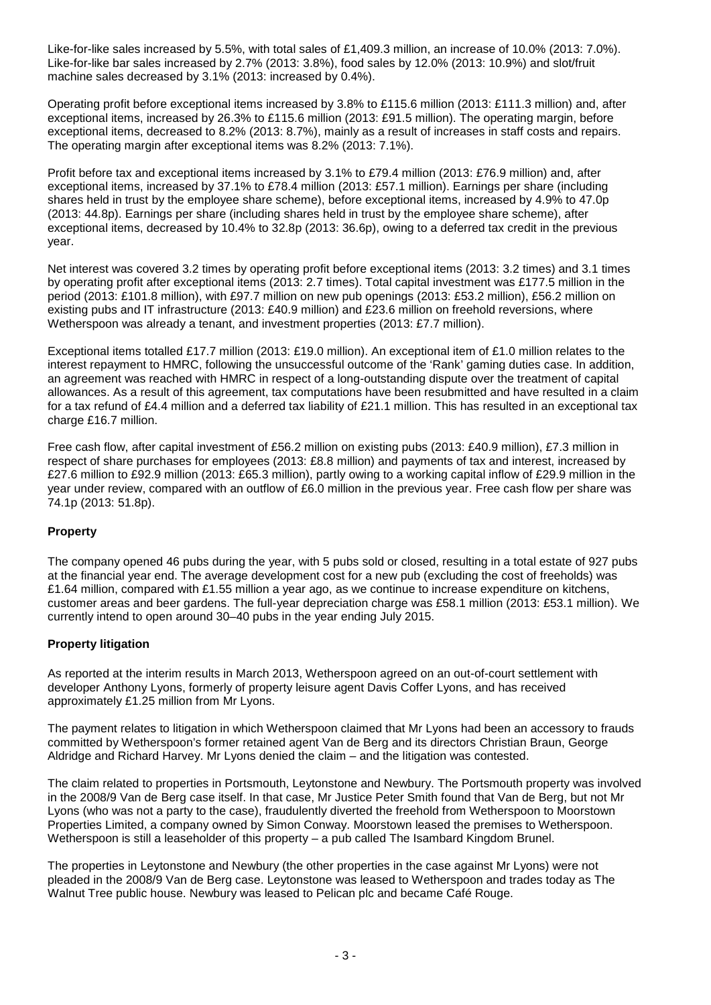Like-for-like sales increased by 5.5%, with total sales of £1,409.3 million, an increase of 10.0% (2013: 7.0%). Like-for-like bar sales increased by 2.7% (2013: 3.8%), food sales by 12.0% (2013: 10.9%) and slot/fruit machine sales decreased by 3.1% (2013: increased by 0.4%).

Operating profit before exceptional items increased by 3.8% to £115.6 million (2013: £111.3 million) and, after exceptional items, increased by 26.3% to £115.6 million (2013: £91.5 million). The operating margin, before exceptional items, decreased to 8.2% (2013: 8.7%), mainly as a result of increases in staff costs and repairs. The operating margin after exceptional items was 8.2% (2013: 7.1%).

Profit before tax and exceptional items increased by 3.1% to £79.4 million (2013: £76.9 million) and, after exceptional items, increased by 37.1% to £78.4 million (2013: £57.1 million). Earnings per share (including shares held in trust by the employee share scheme), before exceptional items, increased by 4.9% to 47.0p (2013: 44.8p). Earnings per share (including shares held in trust by the employee share scheme), after exceptional items, decreased by 10.4% to 32.8p (2013: 36.6p), owing to a deferred tax credit in the previous year.

Net interest was covered 3.2 times by operating profit before exceptional items (2013: 3.2 times) and 3.1 times by operating profit after exceptional items (2013: 2.7 times). Total capital investment was £177.5 million in the period (2013: £101.8 million), with £97.7 million on new pub openings (2013: £53.2 million), £56.2 million on existing pubs and IT infrastructure (2013: £40.9 million) and £23.6 million on freehold reversions, where Wetherspoon was already a tenant, and investment properties (2013: £7.7 million).

Exceptional items totalled £17.7 million (2013: £19.0 million). An exceptional item of £1.0 million relates to the interest repayment to HMRC, following the unsuccessful outcome of the 'Rank' gaming duties case. In addition, an agreement was reached with HMRC in respect of a long-outstanding dispute over the treatment of capital allowances. As a result of this agreement, tax computations have been resubmitted and have resulted in a claim for a tax refund of £4.4 million and a deferred tax liability of £21.1 million. This has resulted in an exceptional tax charge £16.7 million.

Free cash flow, after capital investment of £56.2 million on existing pubs (2013: £40.9 million), £7.3 million in respect of share purchases for employees (2013: £8.8 million) and payments of tax and interest, increased by £27.6 million to £92.9 million (2013: £65.3 million), partly owing to a working capital inflow of £29.9 million in the year under review, compared with an outflow of £6.0 million in the previous year. Free cash flow per share was 74.1p (2013: 51.8p).

## **Property**

The company opened 46 pubs during the year, with 5 pubs sold or closed, resulting in a total estate of 927 pubs at the financial year end. The average development cost for a new pub (excluding the cost of freeholds) was £1.64 million, compared with £1.55 million a year ago, as we continue to increase expenditure on kitchens, customer areas and beer gardens. The full-year depreciation charge was £58.1 million (2013: £53.1 million). We currently intend to open around 30–40 pubs in the year ending July 2015.

## **Property litigation**

As reported at the interim results in March 2013, Wetherspoon agreed on an out-of-court settlement with developer Anthony Lyons, formerly of property leisure agent Davis Coffer Lyons, and has received approximately £1.25 million from Mr Lyons.

The payment relates to litigation in which Wetherspoon claimed that Mr Lyons had been an accessory to frauds committed by Wetherspoon's former retained agent Van de Berg and its directors Christian Braun, George Aldridge and Richard Harvey. Mr Lyons denied the claim – and the litigation was contested.

The claim related to properties in Portsmouth, Leytonstone and Newbury. The Portsmouth property was involved in the 2008/9 Van de Berg case itself. In that case, Mr Justice Peter Smith found that Van de Berg, but not Mr Lyons (who was not a party to the case), fraudulently diverted the freehold from Wetherspoon to Moorstown Properties Limited, a company owned by Simon Conway. Moorstown leased the premises to Wetherspoon. Wetherspoon is still a leaseholder of this property – a pub called The Isambard Kingdom Brunel.

The properties in Leytonstone and Newbury (the other properties in the case against Mr Lyons) were not pleaded in the 2008/9 Van de Berg case. Leytonstone was leased to Wetherspoon and trades today as The Walnut Tree public house. Newbury was leased to Pelican plc and became Café Rouge.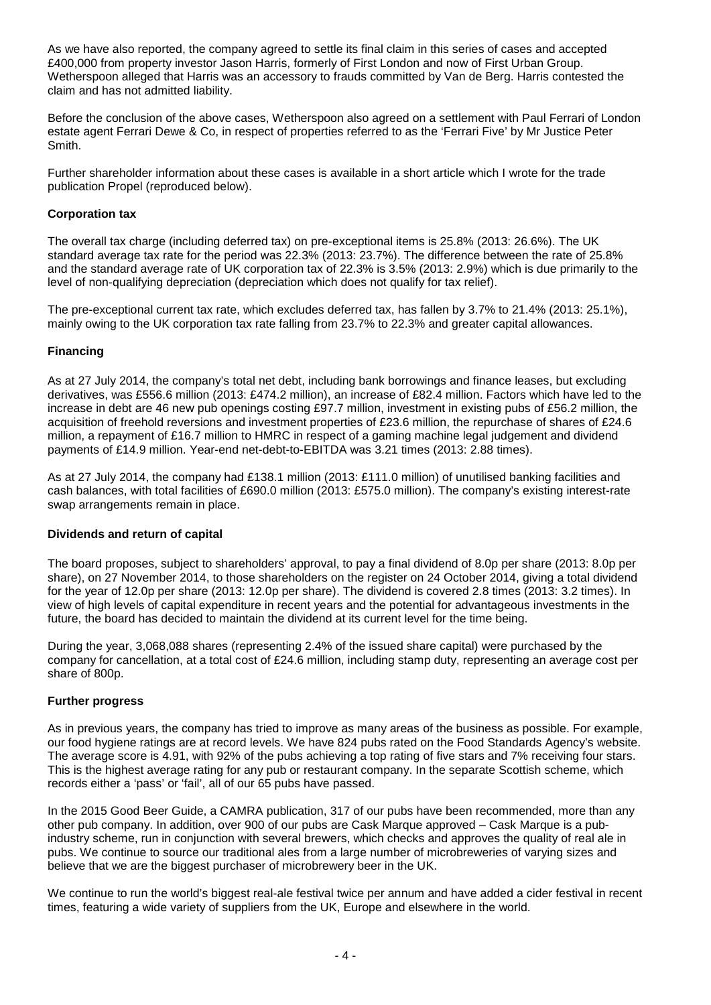As we have also reported, the company agreed to settle its final claim in this series of cases and accepted £400,000 from property investor Jason Harris, formerly of First London and now of First Urban Group. Wetherspoon alleged that Harris was an accessory to frauds committed by Van de Berg. Harris contested the claim and has not admitted liability.

Before the conclusion of the above cases, Wetherspoon also agreed on a settlement with Paul Ferrari of London estate agent Ferrari Dewe & Co, in respect of properties referred to as the 'Ferrari Five' by Mr Justice Peter **Smith** 

Further shareholder information about these cases is available in a short article which I wrote for the trade publication Propel (reproduced below).

### **Corporation tax**

The overall tax charge (including deferred tax) on pre-exceptional items is 25.8% (2013: 26.6%). The UK standard average tax rate for the period was 22.3% (2013: 23.7%). The difference between the rate of 25.8% and the standard average rate of UK corporation tax of 22.3% is 3.5% (2013: 2.9%) which is due primarily to the level of non-qualifying depreciation (depreciation which does not qualify for tax relief).

The pre-exceptional current tax rate, which excludes deferred tax, has fallen by 3.7% to 21.4% (2013: 25.1%), mainly owing to the UK corporation tax rate falling from 23.7% to 22.3% and greater capital allowances.

### **Financing**

As at 27 July 2014, the company's total net debt, including bank borrowings and finance leases, but excluding derivatives, was £556.6 million (2013: £474.2 million), an increase of £82.4 million. Factors which have led to the increase in debt are 46 new pub openings costing £97.7 million, investment in existing pubs of £56.2 million, the acquisition of freehold reversions and investment properties of £23.6 million, the repurchase of shares of £24.6 million, a repayment of £16.7 million to HMRC in respect of a gaming machine legal judgement and dividend payments of £14.9 million. Year-end net-debt-to-EBITDA was 3.21 times (2013: 2.88 times).

As at 27 July 2014, the company had £138.1 million (2013: £111.0 million) of unutilised banking facilities and cash balances, with total facilities of £690.0 million (2013: £575.0 million). The company's existing interest-rate swap arrangements remain in place.

### **Dividends and return of capital**

The board proposes, subject to shareholders' approval, to pay a final dividend of 8.0p per share (2013: 8.0p per share), on 27 November 2014, to those shareholders on the register on 24 October 2014, giving a total dividend for the year of 12.0p per share (2013: 12.0p per share). The dividend is covered 2.8 times (2013: 3.2 times). In view of high levels of capital expenditure in recent years and the potential for advantageous investments in the future, the board has decided to maintain the dividend at its current level for the time being.

During the year, 3,068,088 shares (representing 2.4% of the issued share capital) were purchased by the company for cancellation, at a total cost of £24.6 million, including stamp duty, representing an average cost per share of 800p.

## **Further progress**

As in previous years, the company has tried to improve as many areas of the business as possible. For example, our food hygiene ratings are at record levels. We have 824 pubs rated on the Food Standards Agency's website. The average score is 4.91, with 92% of the pubs achieving a top rating of five stars and 7% receiving four stars. This is the highest average rating for any pub or restaurant company. In the separate Scottish scheme, which records either a 'pass' or 'fail', all of our 65 pubs have passed.

In the 2015 Good Beer Guide, a CAMRA publication, 317 of our pubs have been recommended, more than any other pub company. In addition, over 900 of our pubs are Cask Marque approved – Cask Marque is a pubindustry scheme, run in conjunction with several brewers, which checks and approves the quality of real ale in pubs. We continue to source our traditional ales from a large number of microbreweries of varying sizes and believe that we are the biggest purchaser of microbrewery beer in the UK.

We continue to run the world's biggest real-ale festival twice per annum and have added a cider festival in recent times, featuring a wide variety of suppliers from the UK, Europe and elsewhere in the world.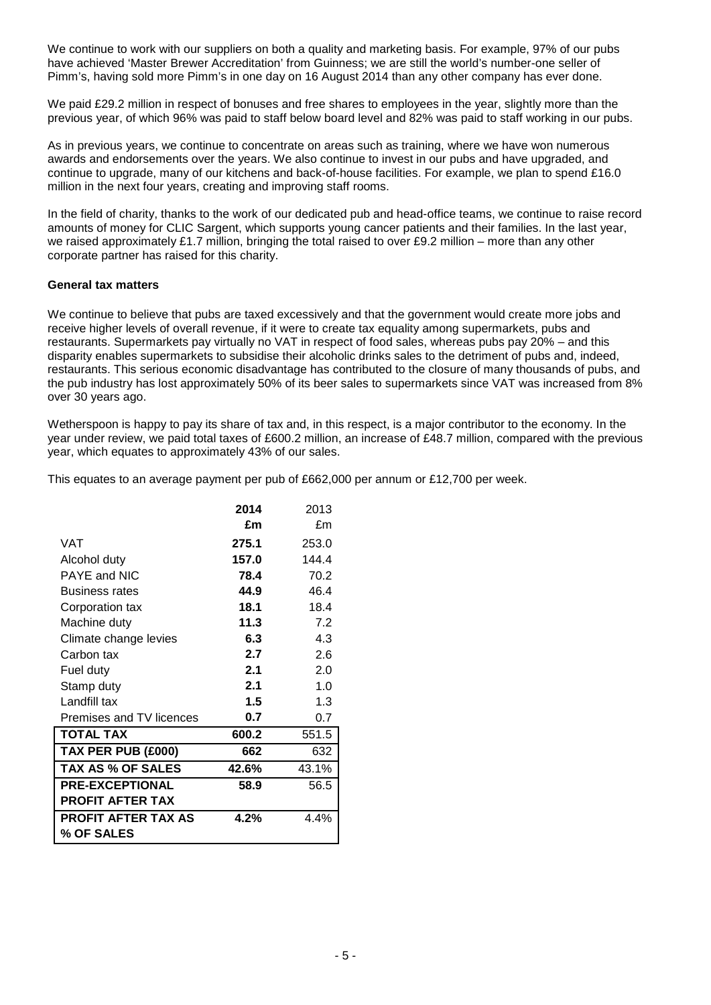We continue to work with our suppliers on both a quality and marketing basis. For example, 97% of our pubs have achieved 'Master Brewer Accreditation' from Guinness; we are still the world's number-one seller of Pimm's, having sold more Pimm's in one day on 16 August 2014 than any other company has ever done.

We paid £29.2 million in respect of bonuses and free shares to employees in the year, slightly more than the previous year, of which 96% was paid to staff below board level and 82% was paid to staff working in our pubs.

As in previous years, we continue to concentrate on areas such as training, where we have won numerous awards and endorsements over the years. We also continue to invest in our pubs and have upgraded, and continue to upgrade, many of our kitchens and back-of-house facilities. For example, we plan to spend £16.0 million in the next four years, creating and improving staff rooms.

In the field of charity, thanks to the work of our dedicated pub and head-office teams, we continue to raise record amounts of money for CLIC Sargent, which supports young cancer patients and their families. In the last year, we raised approximately £1.7 million, bringing the total raised to over £9.2 million – more than any other corporate partner has raised for this charity.

### **General tax matters**

We continue to believe that pubs are taxed excessively and that the government would create more jobs and receive higher levels of overall revenue, if it were to create tax equality among supermarkets, pubs and restaurants. Supermarkets pay virtually no VAT in respect of food sales, whereas pubs pay 20% – and this disparity enables supermarkets to subsidise their alcoholic drinks sales to the detriment of pubs and, indeed, restaurants. This serious economic disadvantage has contributed to the closure of many thousands of pubs, and the pub industry has lost approximately 50% of its beer sales to supermarkets since VAT was increased from 8% over 30 years ago.

Wetherspoon is happy to pay its share of tax and, in this respect, is a major contributor to the economy. In the year under review, we paid total taxes of £600.2 million, an increase of £48.7 million, compared with the previous year, which equates to approximately 43% of our sales.

This equates to an average payment per pub of £662,000 per annum or £12,700 per week.

|                            | 2014  | 2013  |
|----------------------------|-------|-------|
|                            | £m    | £m    |
| VAT                        | 275.1 | 253.0 |
| Alcohol duty               | 157.0 | 144.4 |
| PAYE and NIC               | 78.4  | 70.2  |
| <b>Business rates</b>      | 44.9  | 46.4  |
| Corporation tax            | 18.1  | 18.4  |
| Machine duty               | 11.3  | 7.2   |
| Climate change levies      | 6.3   | 4.3   |
| Carbon tax                 | 2.7   | 2.6   |
| Fuel duty                  | 2.1   | 2.0   |
| Stamp duty                 | 2.1   | 1.0   |
| Landfill tax               | 1.5   | 1.3   |
| Premises and TV licences   | 0.7   | 0.7   |
| <b>TOTAL TAX</b>           | 600.2 | 551.5 |
| TAX PER PUB (£000)         | 662   | 632   |
| <b>TAX AS % OF SALES</b>   | 42.6% | 43.1% |
| <b>PRE-EXCEPTIONAL</b>     | 58.9  | 56.5  |
| <b>PROFIT AFTER TAX</b>    |       |       |
| <b>PROFIT AFTER TAX AS</b> | 4.2%  | 4.4%  |
| % OF SALES                 |       |       |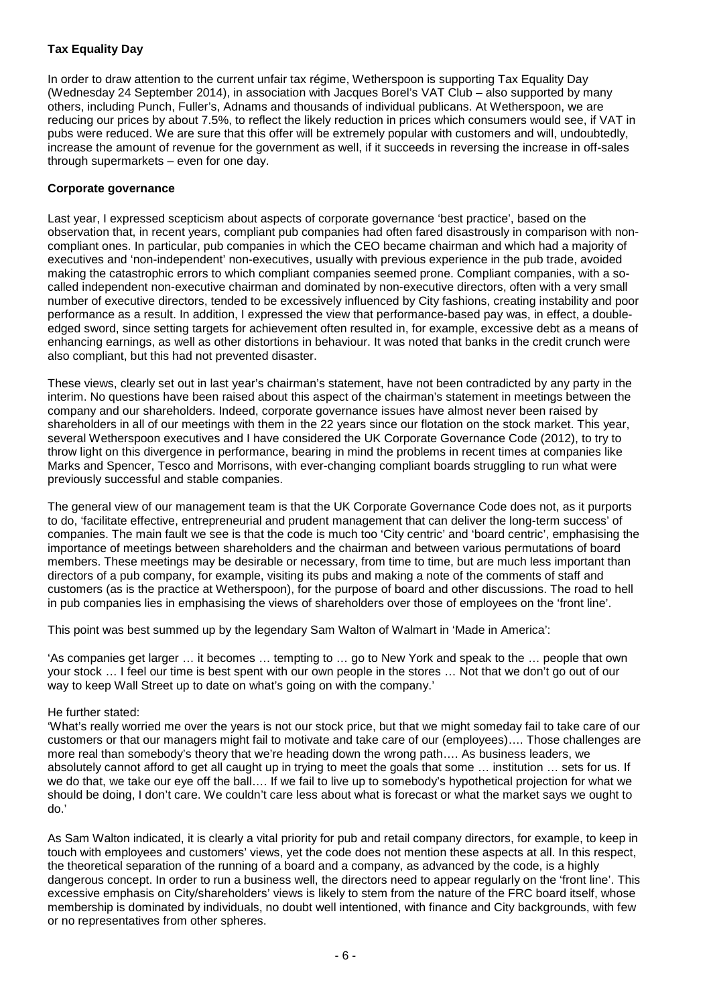# **Tax Equality Day**

In order to draw attention to the current unfair tax régime, Wetherspoon is supporting Tax Equality Day (Wednesday 24 September 2014), in association with Jacques Borel's VAT Club – also supported by many others, including Punch, Fuller's, Adnams and thousands of individual publicans. At Wetherspoon, we are reducing our prices by about 7.5%, to reflect the likely reduction in prices which consumers would see, if VAT in pubs were reduced. We are sure that this offer will be extremely popular with customers and will, undoubtedly, increase the amount of revenue for the government as well, if it succeeds in reversing the increase in off-sales through supermarkets – even for one day.

## **Corporate governance**

Last year, I expressed scepticism about aspects of corporate governance 'best practice', based on the observation that, in recent years, compliant pub companies had often fared disastrously in comparison with noncompliant ones. In particular, pub companies in which the CEO became chairman and which had a majority of executives and 'non-independent' non-executives, usually with previous experience in the pub trade, avoided making the catastrophic errors to which compliant companies seemed prone. Compliant companies, with a socalled independent non-executive chairman and dominated by non-executive directors, often with a very small number of executive directors, tended to be excessively influenced by City fashions, creating instability and poor performance as a result. In addition, I expressed the view that performance-based pay was, in effect, a doubleedged sword, since setting targets for achievement often resulted in, for example, excessive debt as a means of enhancing earnings, as well as other distortions in behaviour. It was noted that banks in the credit crunch were also compliant, but this had not prevented disaster.

These views, clearly set out in last year's chairman's statement, have not been contradicted by any party in the interim. No questions have been raised about this aspect of the chairman's statement in meetings between the company and our shareholders. Indeed, corporate governance issues have almost never been raised by shareholders in all of our meetings with them in the 22 years since our flotation on the stock market. This year, several Wetherspoon executives and I have considered the UK Corporate Governance Code (2012), to try to throw light on this divergence in performance, bearing in mind the problems in recent times at companies like Marks and Spencer, Tesco and Morrisons, with ever-changing compliant boards struggling to run what were previously successful and stable companies.

The general view of our management team is that the UK Corporate Governance Code does not, as it purports to do, 'facilitate effective, entrepreneurial and prudent management that can deliver the long-term success' of companies. The main fault we see is that the code is much too 'City centric' and 'board centric', emphasising the importance of meetings between shareholders and the chairman and between various permutations of board members. These meetings may be desirable or necessary, from time to time, but are much less important than directors of a pub company, for example, visiting its pubs and making a note of the comments of staff and customers (as is the practice at Wetherspoon), for the purpose of board and other discussions. The road to hell in pub companies lies in emphasising the views of shareholders over those of employees on the 'front line'.

This point was best summed up by the legendary Sam Walton of Walmart in 'Made in America':

'As companies get larger … it becomes … tempting to … go to New York and speak to the … people that own your stock … I feel our time is best spent with our own people in the stores … Not that we don't go out of our way to keep Wall Street up to date on what's going on with the company.'

## He further stated:

'What's really worried me over the years is not our stock price, but that we might someday fail to take care of our customers or that our managers might fail to motivate and take care of our (employees)…. Those challenges are more real than somebody's theory that we're heading down the wrong path…. As business leaders, we absolutely cannot afford to get all caught up in trying to meet the goals that some … institution … sets for us. If we do that, we take our eye off the ball…. If we fail to live up to somebody's hypothetical projection for what we should be doing, I don't care. We couldn't care less about what is forecast or what the market says we ought to do.'

As Sam Walton indicated, it is clearly a vital priority for pub and retail company directors, for example, to keep in touch with employees and customers' views, yet the code does not mention these aspects at all. In this respect, the theoretical separation of the running of a board and a company, as advanced by the code, is a highly dangerous concept. In order to run a business well, the directors need to appear regularly on the 'front line'. This excessive emphasis on City/shareholders' views is likely to stem from the nature of the FRC board itself, whose membership is dominated by individuals, no doubt well intentioned, with finance and City backgrounds, with few or no representatives from other spheres.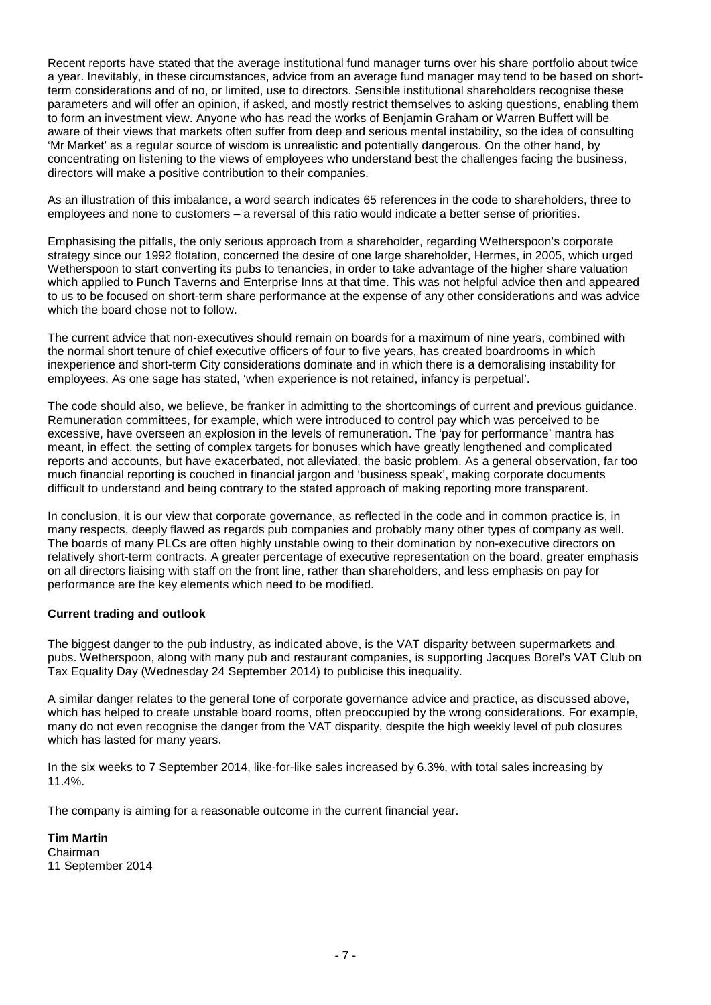Recent reports have stated that the average institutional fund manager turns over his share portfolio about twice a year. Inevitably, in these circumstances, advice from an average fund manager may tend to be based on shortterm considerations and of no, or limited, use to directors. Sensible institutional shareholders recognise these parameters and will offer an opinion, if asked, and mostly restrict themselves to asking questions, enabling them to form an investment view. Anyone who has read the works of Benjamin Graham or Warren Buffett will be aware of their views that markets often suffer from deep and serious mental instability, so the idea of consulting 'Mr Market' as a regular source of wisdom is unrealistic and potentially dangerous. On the other hand, by concentrating on listening to the views of employees who understand best the challenges facing the business, directors will make a positive contribution to their companies.

As an illustration of this imbalance, a word search indicates 65 references in the code to shareholders, three to employees and none to customers – a reversal of this ratio would indicate a better sense of priorities.

Emphasising the pitfalls, the only serious approach from a shareholder, regarding Wetherspoon's corporate strategy since our 1992 flotation, concerned the desire of one large shareholder, Hermes, in 2005, which urged Wetherspoon to start converting its pubs to tenancies, in order to take advantage of the higher share valuation which applied to Punch Taverns and Enterprise Inns at that time. This was not helpful advice then and appeared to us to be focused on short-term share performance at the expense of any other considerations and was advice which the board chose not to follow.

The current advice that non-executives should remain on boards for a maximum of nine years, combined with the normal short tenure of chief executive officers of four to five years, has created boardrooms in which inexperience and short-term City considerations dominate and in which there is a demoralising instability for employees. As one sage has stated, 'when experience is not retained, infancy is perpetual'.

The code should also, we believe, be franker in admitting to the shortcomings of current and previous guidance. Remuneration committees, for example, which were introduced to control pay which was perceived to be excessive, have overseen an explosion in the levels of remuneration. The 'pay for performance' mantra has meant, in effect, the setting of complex targets for bonuses which have greatly lengthened and complicated reports and accounts, but have exacerbated, not alleviated, the basic problem. As a general observation, far too much financial reporting is couched in financial jargon and 'business speak', making corporate documents difficult to understand and being contrary to the stated approach of making reporting more transparent.

In conclusion, it is our view that corporate governance, as reflected in the code and in common practice is, in many respects, deeply flawed as regards pub companies and probably many other types of company as well. The boards of many PLCs are often highly unstable owing to their domination by non-executive directors on relatively short-term contracts. A greater percentage of executive representation on the board, greater emphasis on all directors liaising with staff on the front line, rather than shareholders, and less emphasis on pay for performance are the key elements which need to be modified.

## **Current trading and outlook**

The biggest danger to the pub industry, as indicated above, is the VAT disparity between supermarkets and pubs. Wetherspoon, along with many pub and restaurant companies, is supporting Jacques Borel's VAT Club on Tax Equality Day (Wednesday 24 September 2014) to publicise this inequality.

A similar danger relates to the general tone of corporate governance advice and practice, as discussed above, which has helped to create unstable board rooms, often preoccupied by the wrong considerations. For example, many do not even recognise the danger from the VAT disparity, despite the high weekly level of pub closures which has lasted for many years.

In the six weeks to 7 September 2014, like-for-like sales increased by 6.3%, with total sales increasing by 11.4%.

The company is aiming for a reasonable outcome in the current financial year.

**Tim Martin** Chairman 11 September 2014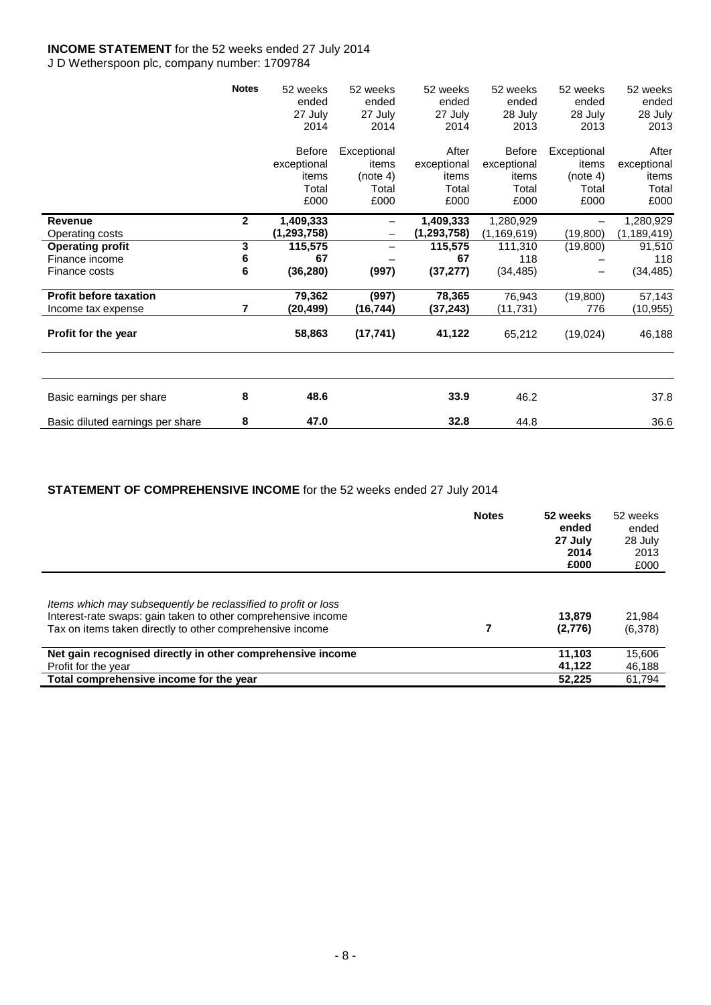## **INCOME STATEMENT** for the 52 weeks ended 27 July 2014 J D Wetherspoon plc, company number: 1709784

|                                  | <b>Notes</b> | 52 weeks      | 52 weeks          | 52 weeks      | 52 weeks      | 52 weeks    | 52 weeks      |
|----------------------------------|--------------|---------------|-------------------|---------------|---------------|-------------|---------------|
|                                  |              | ended         | ended             | ended         | ended         | ended       | ended         |
|                                  |              | 27 July       | 27 July           | 27 July       | 28 July       | 28 July     | 28 July       |
|                                  |              | 2014          | 2014              | 2014          | 2013          | 2013        | 2013          |
|                                  |              | <b>Before</b> | Exceptional       | After         | Before        | Exceptional | After         |
|                                  |              | exceptional   | items             | exceptional   | exceptional   | items       | exceptional   |
|                                  |              | items         | (note 4)          | items         | items         | (note 4)    | items         |
|                                  |              | Total         | Total             | Total         | Total         | Total       | Total         |
|                                  |              | £000          | £000              | £000          | £000          | £000        | £000          |
| <b>Revenue</b>                   | $\mathbf{2}$ | 1,409,333     | $\qquad \qquad -$ | 1,409,333     | 1,280,929     |             | 1,280,929     |
| Operating costs                  |              | (1,293,758)   |                   | (1, 293, 758) | (1, 169, 619) | (19, 800)   | (1, 189, 419) |
| <b>Operating profit</b>          | 3            | 115,575       |                   | 115,575       | 111,310       | (19,800)    | 91,510        |
| Finance income                   | 6            | 67            |                   | 67            | 118           |             | 118           |
| Finance costs                    | 6            | (36, 280)     | (997)             | (37, 277)     | (34, 485)     |             | (34, 485)     |
| <b>Profit before taxation</b>    |              | 79,362        | (997)             | 78,365        | 76,943        | (19,800)    | 57,143        |
| Income tax expense               | 7            | (20,499)      | (16, 744)         | (37, 243)     | (11,731)      | 776         | (10,955)      |
| Profit for the year              |              | 58,863        | (17, 741)         | 41,122        | 65,212        | (19,024)    | 46,188        |
|                                  |              |               |                   |               |               |             |               |
| Basic earnings per share         | 8            | 48.6          |                   | 33.9          | 46.2          |             | 37.8          |
| Basic diluted earnings per share | 8            | 47.0          |                   | 32.8          | 44.8          |             | 36.6          |

# **STATEMENT OF COMPREHENSIVE INCOME** for the 52 weeks ended 27 July 2014

|                                                                                                                                                                                              | <b>Notes</b> | 52 weeks<br>ended<br>27 July<br>2014<br>£000 | 52 weeks<br>ended<br>28 July<br>2013<br>£000 |
|----------------------------------------------------------------------------------------------------------------------------------------------------------------------------------------------|--------------|----------------------------------------------|----------------------------------------------|
| Items which may subsequently be reclassified to profit or loss<br>Interest-rate swaps: gain taken to other comprehensive income<br>Tax on items taken directly to other comprehensive income |              | 13,879<br>(2,776)                            | 21,984<br>(6,378)                            |
| Net gain recognised directly in other comprehensive income                                                                                                                                   |              | 11.103                                       | 15,606                                       |
| Profit for the year<br>Total comprehensive income for the year                                                                                                                               |              | 41.122<br>52.225                             | 46,188<br>61.794                             |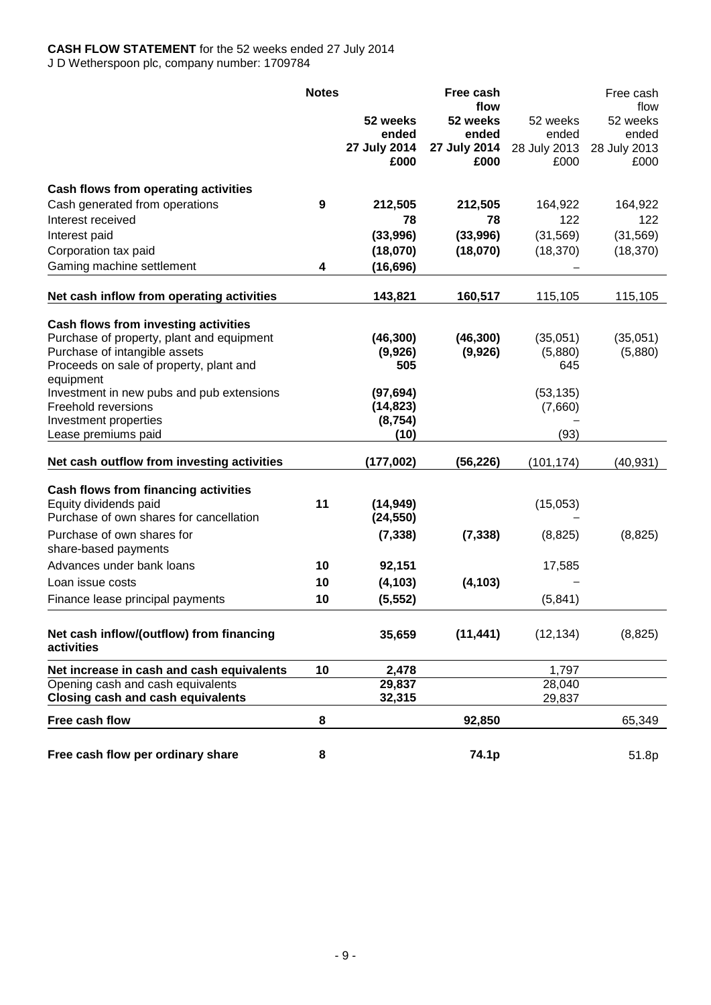# **CASH FLOW STATEMENT** for the 52 weeks ended 27 July 2014 J D Wetherspoon plc, company number: 1709784

|                                                                            | <b>Notes</b> |              | Free cash<br>flow |              | Free cash<br>flow |
|----------------------------------------------------------------------------|--------------|--------------|-------------------|--------------|-------------------|
|                                                                            |              | 52 weeks     | 52 weeks          | 52 weeks     | 52 weeks          |
|                                                                            |              | ended        | ended             | ended        | ended             |
|                                                                            |              | 27 July 2014 | 27 July 2014      | 28 July 2013 | 28 July 2013      |
|                                                                            |              | £000         | £000              | £000         | £000              |
| Cash flows from operating activities                                       |              |              |                   |              |                   |
| Cash generated from operations                                             | 9            | 212,505      | 212,505           | 164,922      | 164,922           |
| Interest received                                                          |              | 78           | 78                | 122          | 122               |
| Interest paid                                                              |              | (33,996)     | (33,996)          | (31, 569)    | (31, 569)         |
| Corporation tax paid                                                       |              | (18,070)     | (18,070)          | (18, 370)    | (18, 370)         |
| Gaming machine settlement                                                  | 4            | (16, 696)    |                   |              |                   |
| Net cash inflow from operating activities                                  |              | 143,821      | 160,517           | 115,105      | 115,105           |
|                                                                            |              |              |                   |              |                   |
| Cash flows from investing activities                                       |              | (46, 300)    | (46, 300)         | (35,051)     | (35,051)          |
| Purchase of property, plant and equipment<br>Purchase of intangible assets |              | (9,926)      | (9,926)           | (5,880)      | (5,880)           |
| Proceeds on sale of property, plant and                                    |              | 505          |                   | 645          |                   |
| equipment                                                                  |              |              |                   |              |                   |
| Investment in new pubs and pub extensions                                  |              | (97, 694)    |                   | (53, 135)    |                   |
| Freehold reversions                                                        |              | (14, 823)    |                   | (7,660)      |                   |
| Investment properties                                                      |              | (8, 754)     |                   |              |                   |
| Lease premiums paid                                                        |              | (10)         |                   | (93)         |                   |
| Net cash outflow from investing activities                                 |              | (177,002)    | (56, 226)         | (101, 174)   | (40, 931)         |
| Cash flows from financing activities                                       |              |              |                   |              |                   |
| Equity dividends paid                                                      | 11           | (14, 949)    |                   | (15,053)     |                   |
| Purchase of own shares for cancellation                                    |              | (24, 550)    |                   |              |                   |
| Purchase of own shares for                                                 |              | (7, 338)     | (7, 338)          | (8,825)      | (8,825)           |
| share-based payments                                                       |              |              |                   |              |                   |
| Advances under bank loans                                                  | 10           | 92,151       |                   | 17,585       |                   |
| Loan issue costs                                                           | 10           | (4, 103)     | (4, 103)          |              |                   |
| Finance lease principal payments                                           | 10           | (5, 552)     |                   | (5,841)      |                   |
| Net cash inflow/(outflow) from financing<br>activities                     |              | 35,659       | (11, 441)         | (12, 134)    | (8, 825)          |
| Net increase in cash and cash equivalents                                  | 10           | 2,478        |                   | 1,797        |                   |
| Opening cash and cash equivalents                                          |              | 29,837       |                   | 28,040       |                   |
| <b>Closing cash and cash equivalents</b>                                   |              | 32,315       |                   | 29,837       |                   |
| Free cash flow                                                             | 8            |              | 92,850            |              | 65,349            |
| Free cash flow per ordinary share                                          | 8            |              | 74.1p             |              | 51.8p             |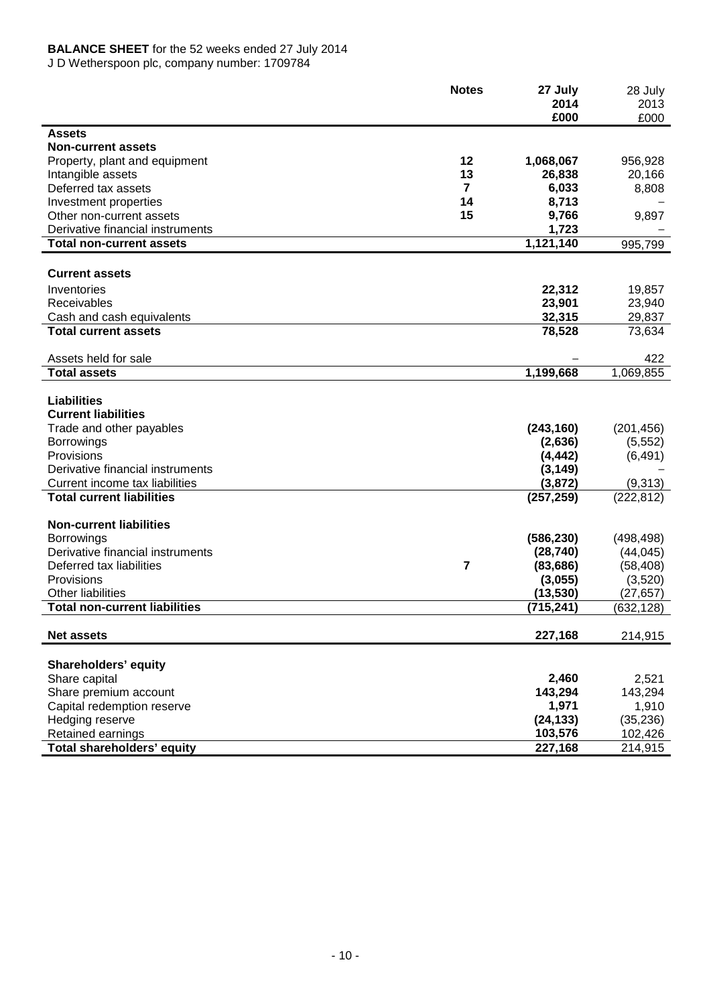# **BALANCE SHEET** for the 52 weeks ended 27 July 2014

J D Wetherspoon plc, company number: 1709784

|                                      | <b>Notes</b>   | 27 July<br>2014 | 28 July<br>2013 |
|--------------------------------------|----------------|-----------------|-----------------|
|                                      |                | £000            | £000            |
| <b>Assets</b>                        |                |                 |                 |
| <b>Non-current assets</b>            |                |                 |                 |
| Property, plant and equipment        | 12             | 1,068,067       | 956,928         |
| Intangible assets                    | 13             | 26,838          | 20,166          |
| Deferred tax assets                  | $\overline{7}$ | 6,033           | 8,808           |
| Investment properties                | 14             | 8,713           |                 |
| Other non-current assets             | 15             | 9,766           | 9,897           |
| Derivative financial instruments     |                | 1,723           |                 |
| <b>Total non-current assets</b>      |                | 1,121,140       | 995,799         |
|                                      |                |                 |                 |
| <b>Current assets</b>                |                |                 |                 |
| Inventories                          |                | 22,312          | 19,857          |
| Receivables                          |                | 23,901          | 23,940          |
| Cash and cash equivalents            |                | 32,315          | 29,837          |
| <b>Total current assets</b>          |                | 78,528          | 73,634          |
| Assets held for sale                 |                |                 | 422             |
| <b>Total assets</b>                  |                | 1,199,668       | 1,069,855       |
|                                      |                |                 |                 |
| <b>Liabilities</b>                   |                |                 |                 |
| <b>Current liabilities</b>           |                |                 |                 |
| Trade and other payables             |                | (243, 160)      | (201, 456)      |
| <b>Borrowings</b>                    |                | (2,636)         | (5, 552)        |
| Provisions                           |                | (4, 442)        | (6, 491)        |
| Derivative financial instruments     |                | (3, 149)        |                 |
| Current income tax liabilities       |                | (3, 872)        | (9,313)         |
| <b>Total current liabilities</b>     |                | (257, 259)      | (222, 812)      |
| <b>Non-current liabilities</b>       |                |                 |                 |
| <b>Borrowings</b>                    |                | (586, 230)      | (498, 498)      |
| Derivative financial instruments     |                | (28, 740)       | (44, 045)       |
| Deferred tax liabilities             | $\overline{7}$ | (83, 686)       | (58, 408)       |
| Provisions                           |                | (3,055)         | (3,520)         |
| <b>Other liabilities</b>             |                | (13, 530)       | (27, 657)       |
| <b>Total non-current liabilities</b> |                | (715, 241)      | (632,128)       |
|                                      |                |                 |                 |
| <b>Net assets</b>                    |                | 227,168         | 214,915         |
| Shareholders' equity                 |                |                 |                 |
| Share capital                        |                | 2,460           | 2,521           |
| Share premium account                |                | 143,294         | 143,294         |
| Capital redemption reserve           |                | 1,971           | 1,910           |
| Hedging reserve                      |                | (24, 133)       | (35, 236)       |
| Retained earnings                    |                | 103,576         | 102,426         |
| Total shareholders' equity           |                | 227,168         | 214,915         |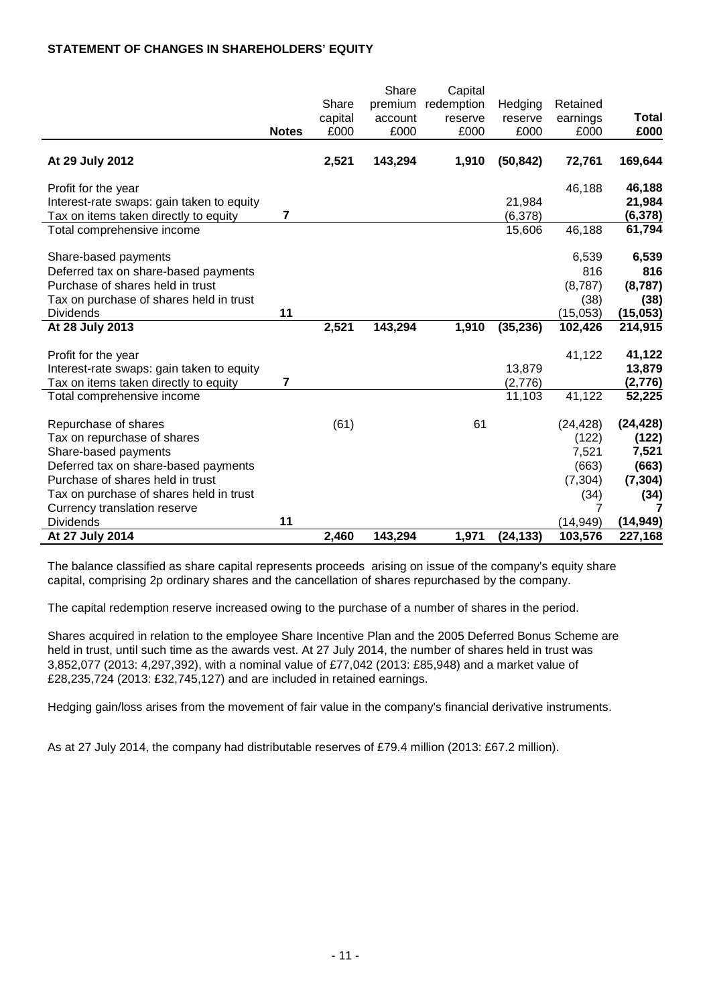# **STATEMENT OF CHANGES IN SHAREHOLDERS' EQUITY**

|                                           |                |         | Share   | Capital    |           |           |           |
|-------------------------------------------|----------------|---------|---------|------------|-----------|-----------|-----------|
|                                           |                | Share   | premium | redemption | Hedging   | Retained  |           |
|                                           |                | capital | account | reserve    | reserve   | earnings  | Total     |
|                                           | <b>Notes</b>   | £000    | £000    | £000       | £000      | £000      | £000      |
| At 29 July 2012                           |                | 2,521   | 143,294 | 1,910      | (50, 842) | 72,761    | 169,644   |
|                                           |                |         |         |            |           |           |           |
| Profit for the year                       |                |         |         |            |           | 46,188    | 46,188    |
| Interest-rate swaps: gain taken to equity |                |         |         |            | 21,984    |           | 21,984    |
| Tax on items taken directly to equity     | $\overline{7}$ |         |         |            | (6,378)   |           | (6, 378)  |
| Total comprehensive income                |                |         |         |            | 15,606    | 46,188    | 61,794    |
|                                           |                |         |         |            |           |           |           |
| Share-based payments                      |                |         |         |            |           | 6,539     | 6,539     |
| Deferred tax on share-based payments      |                |         |         |            |           | 816       | 816       |
| Purchase of shares held in trust          |                |         |         |            |           | (8,787)   | (8,787)   |
| Tax on purchase of shares held in trust   |                |         |         |            |           | (38)      | (38)      |
| <b>Dividends</b>                          | 11             |         |         |            |           | (15,053)  | (15, 053) |
| At 28 July 2013                           |                | 2,521   | 143,294 | 1,910      | (35, 236) | 102,426   | 214,915   |
|                                           |                |         |         |            |           |           |           |
| Profit for the year                       |                |         |         |            | 13,879    | 41,122    | 41,122    |
| Interest-rate swaps: gain taken to equity | 7              |         |         |            |           |           | 13,879    |
| Tax on items taken directly to equity     |                |         |         |            | (2,776)   |           | (2,776)   |
| Total comprehensive income                |                |         |         |            | 11,103    | 41,122    | 52,225    |
| Repurchase of shares                      |                | (61)    |         | 61         |           | (24, 428) | (24, 428) |
| Tax on repurchase of shares               |                |         |         |            |           | (122)     | (122)     |
| Share-based payments                      |                |         |         |            |           | 7,521     | 7,521     |
| Deferred tax on share-based payments      |                |         |         |            |           | (663)     | (663)     |
| Purchase of shares held in trust          |                |         |         |            |           | (7, 304)  | (7, 304)  |
| Tax on purchase of shares held in trust   |                |         |         |            |           | (34)      | (34)      |
| Currency translation reserve              |                |         |         |            |           | 7         | 7         |
| <b>Dividends</b>                          | 11             |         |         |            |           | (14, 949) | (14, 949) |
| At 27 July 2014                           |                | 2,460   | 143,294 | 1,971      | (24, 133) | 103,576   | 227,168   |

The balance classified as share capital represents proceeds arising on issue of the company's equity share capital, comprising 2p ordinary shares and the cancellation of shares repurchased by the company.

The capital redemption reserve increased owing to the purchase of a number of shares in the period.

Shares acquired in relation to the employee Share Incentive Plan and the 2005 Deferred Bonus Scheme are held in trust, until such time as the awards vest. At 27 July 2014, the number of shares held in trust was 3,852,077 (2013: 4,297,392), with a nominal value of £77,042 (2013: £85,948) and a market value of £28,235,724 (2013: £32,745,127) and are included in retained earnings.

Hedging gain/loss arises from the movement of fair value in the company's financial derivative instruments.

As at 27 July 2014, the company had distributable reserves of £79.4 million (2013: £67.2 million).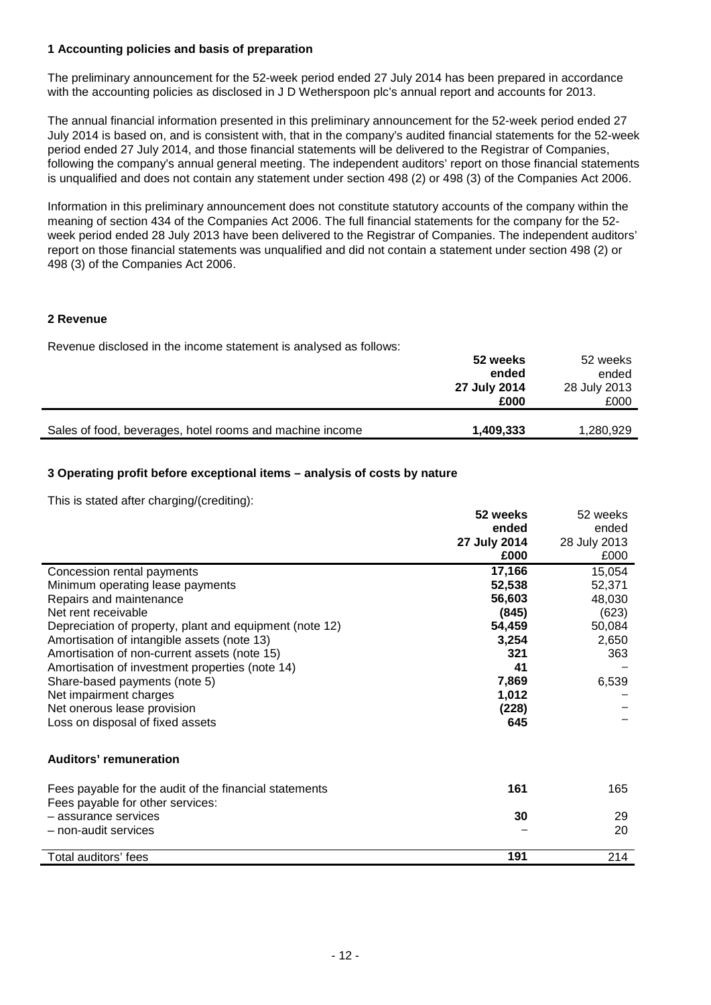## **1 Accounting policies and basis of preparation**

The preliminary announcement for the 52-week period ended 27 July 2014 has been prepared in accordance with the accounting policies as disclosed in J D Wetherspoon plc's annual report and accounts for 2013.

The annual financial information presented in this preliminary announcement for the 52-week period ended 27 July 2014 is based on, and is consistent with, that in the company's audited financial statements for the 52-week period ended 27 July 2014, and those financial statements will be delivered to the Registrar of Companies, following the company's annual general meeting. The independent auditors' report on those financial statements is unqualified and does not contain any statement under section 498 (2) or 498 (3) of the Companies Act 2006.

Information in this preliminary announcement does not constitute statutory accounts of the company within the meaning of section 434 of the Companies Act 2006. The full financial statements for the company for the 52 week period ended 28 July 2013 have been delivered to the Registrar of Companies. The independent auditors' report on those financial statements was unqualified and did not contain a statement under section 498 (2) or 498 (3) of the Companies Act 2006.

## **2 Revenue**

Revenue disclosed in the income statement is analysed as follows:

|                                                          | 52 weeks     | 52 weeks     |
|----------------------------------------------------------|--------------|--------------|
|                                                          | ended        | ended        |
|                                                          | 27 July 2014 | 28 July 2013 |
|                                                          | £000         | £000         |
|                                                          |              |              |
| Sales of food, beverages, hotel rooms and machine income | 1,409,333    | 1,280,929    |

# **3 Operating profit before exceptional items – analysis of costs by nature**

This is stated after charging/(crediting):

| ended<br>28 July 2013<br>£000 |
|-------------------------------|
|                               |
|                               |
|                               |
| 15,054                        |
| 52,371                        |
| 48,030                        |
| (623)                         |
| 50,084                        |
| 2,650                         |
| 363                           |
|                               |
| 6,539                         |
|                               |
|                               |
|                               |
|                               |
|                               |
| 165                           |
|                               |
| 29                            |
| 20                            |
| 214                           |
|                               |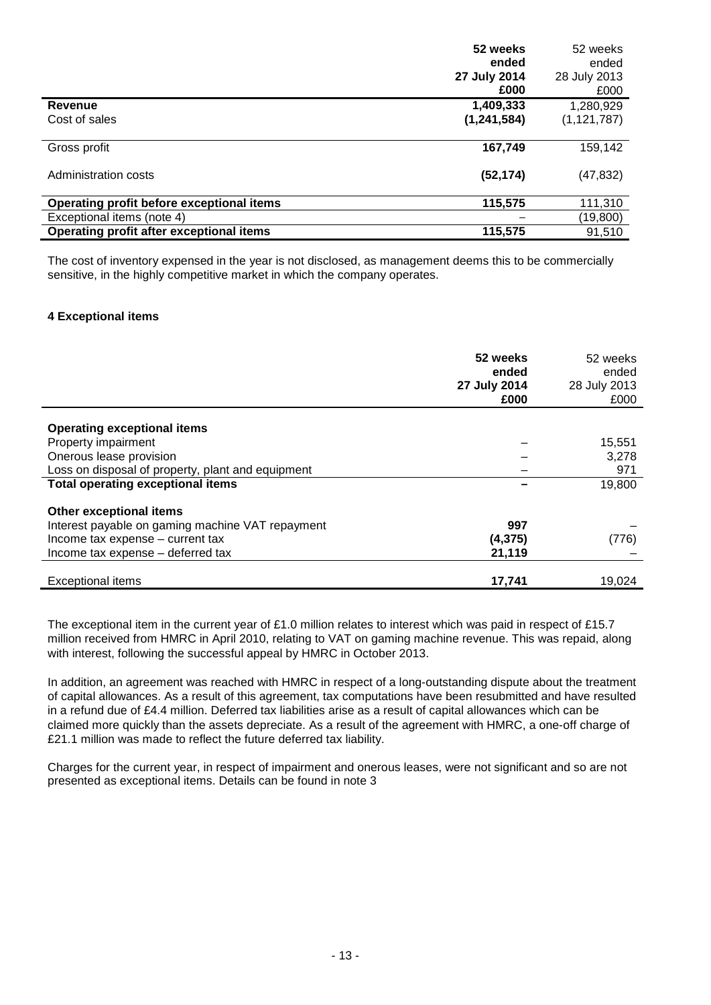|                                           | 52 weeks      | 52 weeks      |
|-------------------------------------------|---------------|---------------|
|                                           | ended         | ended         |
|                                           | 27 July 2014  | 28 July 2013  |
|                                           | £000          | £000          |
| Revenue                                   | 1,409,333     | 1,280,929     |
| Cost of sales                             | (1, 241, 584) | (1, 121, 787) |
|                                           |               |               |
| Gross profit                              | 167,749       | 159,142       |
| Administration costs                      | (52, 174)     | (47,832)      |
| Operating profit before exceptional items | 115,575       | 111,310       |
| Exceptional items (note 4)                |               | (19,800)      |
| Operating profit after exceptional items  | 115,575       | 91.510        |

The cost of inventory expensed in the year is not disclosed, as management deems this to be commercially sensitive, in the highly competitive market in which the company operates.

## **4 Exceptional items**

|                                                   | 52 weeks<br>ended<br>27 July 2014<br>£000 | 52 weeks<br>ended<br>28 July 2013<br>£000 |
|---------------------------------------------------|-------------------------------------------|-------------------------------------------|
|                                                   |                                           |                                           |
| <b>Operating exceptional items</b>                |                                           |                                           |
| Property impairment                               |                                           | 15,551                                    |
| Onerous lease provision                           |                                           | 3,278                                     |
| Loss on disposal of property, plant and equipment |                                           | 971                                       |
| <b>Total operating exceptional items</b>          |                                           | 19,800                                    |
| Other exceptional items                           |                                           |                                           |
| Interest payable on gaming machine VAT repayment  | 997                                       |                                           |
| Income tax expense - current tax                  | (4, 375)                                  | (776)                                     |
| Income tax expense - deferred tax                 | 21,119                                    |                                           |
|                                                   |                                           |                                           |
| <b>Exceptional items</b>                          | 17,741                                    | 19,024                                    |

The exceptional item in the current year of £1.0 million relates to interest which was paid in respect of £15.7 million received from HMRC in April 2010, relating to VAT on gaming machine revenue. This was repaid, along with interest, following the successful appeal by HMRC in October 2013.

In addition, an agreement was reached with HMRC in respect of a long-outstanding dispute about the treatment of capital allowances. As a result of this agreement, tax computations have been resubmitted and have resulted in a refund due of £4.4 million. Deferred tax liabilities arise as a result of capital allowances which can be claimed more quickly than the assets depreciate. As a result of the agreement with HMRC, a one-off charge of £21.1 million was made to reflect the future deferred tax liability.

Charges for the current year, in respect of impairment and onerous leases, were not significant and so are not presented as exceptional items. Details can be found in note 3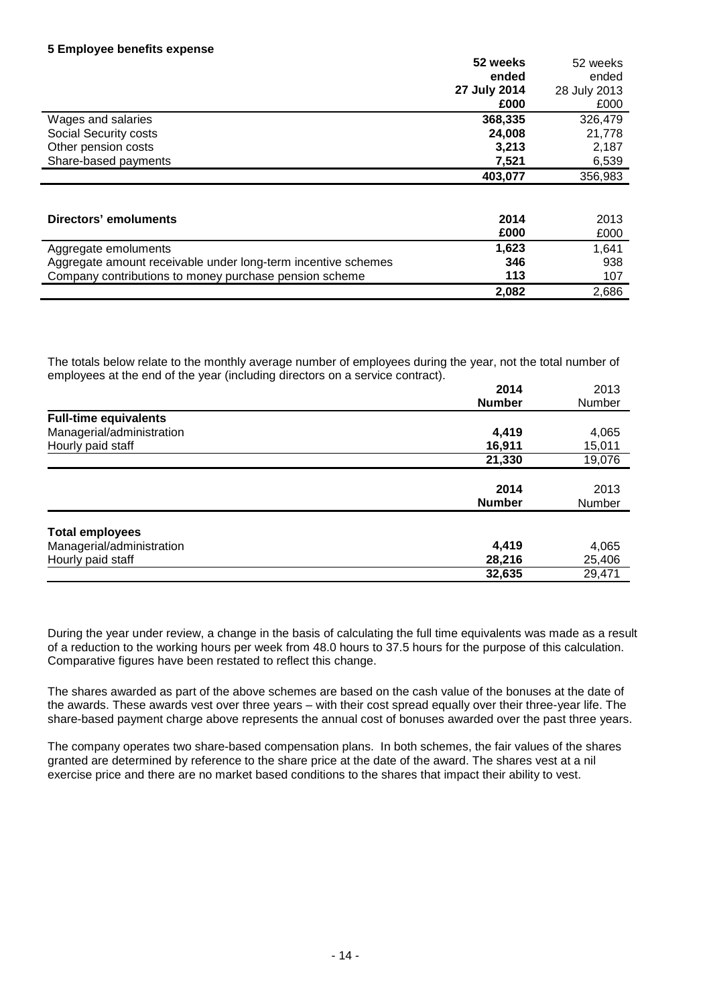|                              | 52 weeks     | 52 weeks     |
|------------------------------|--------------|--------------|
|                              | ended        | ended        |
|                              | 27 July 2014 | 28 July 2013 |
|                              | £000         | £000         |
| Wages and salaries           | 368,335      | 326,479      |
| Social Security costs        | 24,008       | 21,778       |
| Other pension costs          | 3,213        | 2,187        |
| Share-based payments         | 7,521        | 6,539        |
|                              | 403,077      | 356,983      |
|                              |              |              |
| <b>Directors' emoluments</b> | 2014         | 2013         |
|                              | £000         | £000         |
| Aggregate emoluments         | 1,623        | 1,641        |

| Aggregate amount receivable under long-term incentive schemes | 346   | 938   |
|---------------------------------------------------------------|-------|-------|
| Company contributions to money purchase pension scheme        | 113   |       |
|                                                               | 2.082 | 2.686 |
|                                                               |       |       |

The totals below relate to the monthly average number of employees during the year, not the total number of employees at the end of the year (including directors on a service contract).

| $\sim$ $\sim$ $\sim$ $\sim$ $\sim$ $\sim$ | 2014<br><b>Number</b> | 2013<br><b>Number</b> |
|-------------------------------------------|-----------------------|-----------------------|
| <b>Full-time equivalents</b>              |                       |                       |
| Managerial/administration                 | 4,419                 | 4,065                 |
| Hourly paid staff                         | 16,911                | 15,011                |
|                                           | 21,330                | 19,076                |
|                                           | 2014<br><b>Number</b> | 2013<br>Number        |
| <b>Total employees</b>                    |                       |                       |
| Managerial/administration                 | 4,419                 | 4,065                 |
| Hourly paid staff                         | 28,216                | 25,406                |
|                                           | 32,635                | 29,471                |

During the year under review, a change in the basis of calculating the full time equivalents was made as a result of a reduction to the working hours per week from 48.0 hours to 37.5 hours for the purpose of this calculation. Comparative figures have been restated to reflect this change.

The shares awarded as part of the above schemes are based on the cash value of the bonuses at the date of the awards. These awards vest over three years – with their cost spread equally over their three-year life. The share-based payment charge above represents the annual cost of bonuses awarded over the past three years.

The company operates two share-based compensation plans. In both schemes, the fair values of the shares granted are determined by reference to the share price at the date of the award. The shares vest at a nil exercise price and there are no market based conditions to the shares that impact their ability to vest.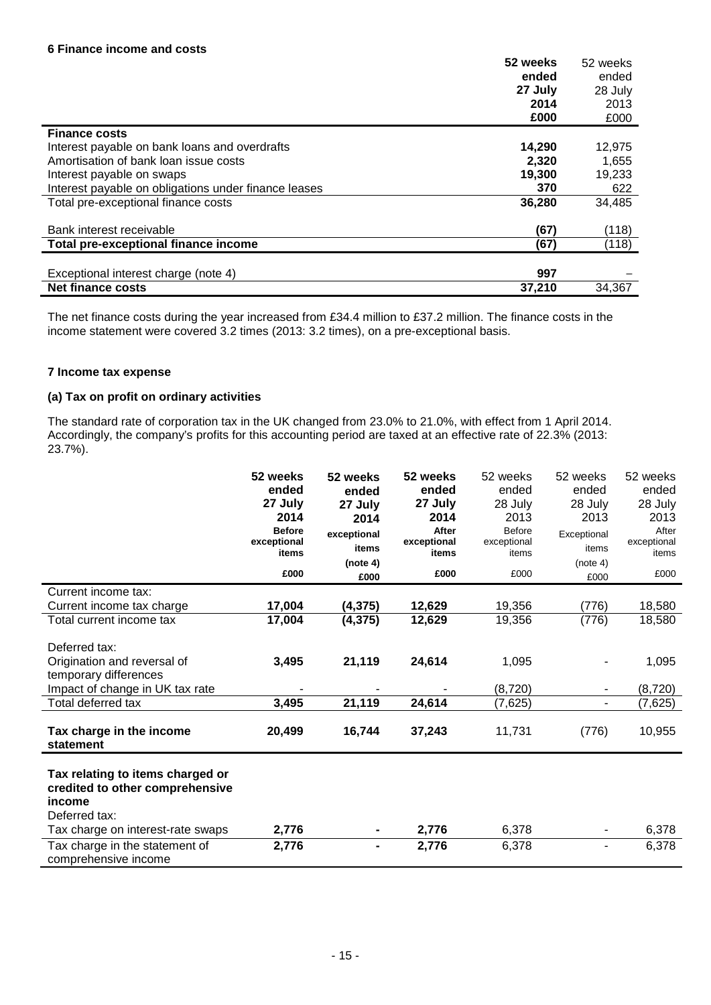|                                                      | 52 weeks | 52 weeks |
|------------------------------------------------------|----------|----------|
|                                                      | ended    | ended    |
|                                                      | 27 July  | 28 July  |
|                                                      | 2014     | 2013     |
|                                                      | £000     | £000     |
| <b>Finance costs</b>                                 |          |          |
| Interest payable on bank loans and overdrafts        | 14,290   | 12,975   |
| Amortisation of bank loan issue costs                | 2.320    | 1,655    |
| Interest payable on swaps                            | 19,300   | 19,233   |
| Interest payable on obligations under finance leases | 370      | 622      |
| Total pre-exceptional finance costs                  | 36,280   | 34,485   |
|                                                      |          |          |
| Bank interest receivable                             | (67)     | (118)    |
| Total pre-exceptional finance income                 | (67)     | (118)    |
|                                                      |          |          |
| Exceptional interest charge (note 4)                 | 997      |          |
| Net finance costs                                    | 37,210   | 34.367   |

The net finance costs during the year increased from £34.4 million to £37.2 million. The finance costs in the income statement were covered 3.2 times (2013: 3.2 times), on a pre-exceptional basis.

## **7 Income tax expense**

### **(a) Tax on profit on ordinary activities**

The standard rate of corporation tax in the UK changed from 23.0% to 21.0%, with effect from 1 April 2014. Accordingly, the company's profits for this accounting period are taxed at an effective rate of 22.3% (2013: 23.7%).

|                                           | 52 weeks      | 52 weeks       | 52 weeks    | 52 weeks      | 52 weeks    | 52 weeks    |
|-------------------------------------------|---------------|----------------|-------------|---------------|-------------|-------------|
|                                           | ended         | ended          | ended       | ended         | ended       | ended       |
|                                           | 27 July       | 27 July        | 27 July     | 28 July       | 28 July     | 28 July     |
|                                           | 2014          | 2014           | 2014        | 2013          | 2013        | 2013        |
|                                           | <b>Before</b> | exceptional    | After       | <b>Before</b> | Exceptional | After       |
|                                           | exceptional   | items          | exceptional | exceptional   | items       | exceptional |
|                                           | items         | (note 4)       | items       | items         | (note 4)    | items       |
|                                           | £000          | £000           | £000        | £000          | £000        | £000        |
| Current income tax:                       |               |                |             |               |             |             |
| Current income tax charge                 | 17,004        | (4, 375)       | 12,629      | 19,356        | (776)       | 18,580      |
| Total current income tax                  | 17,004        | (4, 375)       | 12,629      | 19,356        | (776)       | 18,580      |
|                                           |               |                |             |               |             |             |
| Deferred tax:                             |               |                |             |               |             |             |
| Origination and reversal of               | 3,495         | 21,119         | 24,614      | 1,095         |             | 1,095       |
| temporary differences                     |               |                |             |               |             |             |
| Impact of change in UK tax rate           |               |                |             | (8,720)       | ۰           | (8, 720)    |
| Total deferred tax                        | 3,495         | 21,119         | 24,614      | (7,625)       | ۰           | (7,625)     |
| Tax charge in the income<br>statement     | 20,499        | 16,744         | 37,243      | 11,731        | (776)       | 10,955      |
|                                           |               |                |             |               |             |             |
| Tax relating to items charged or          |               |                |             |               |             |             |
| credited to other comprehensive<br>income |               |                |             |               |             |             |
|                                           |               |                |             |               |             |             |
| Deferred tax:                             |               |                |             |               |             |             |
| Tax charge on interest-rate swaps         | 2,776         |                | 2,776       | 6,378         |             | 6,378       |
| Tax charge in the statement of            | 2,776         | $\blacksquare$ | 2,776       | 6,378         | ٠           | 6,378       |
| comprehensive income                      |               |                |             |               |             |             |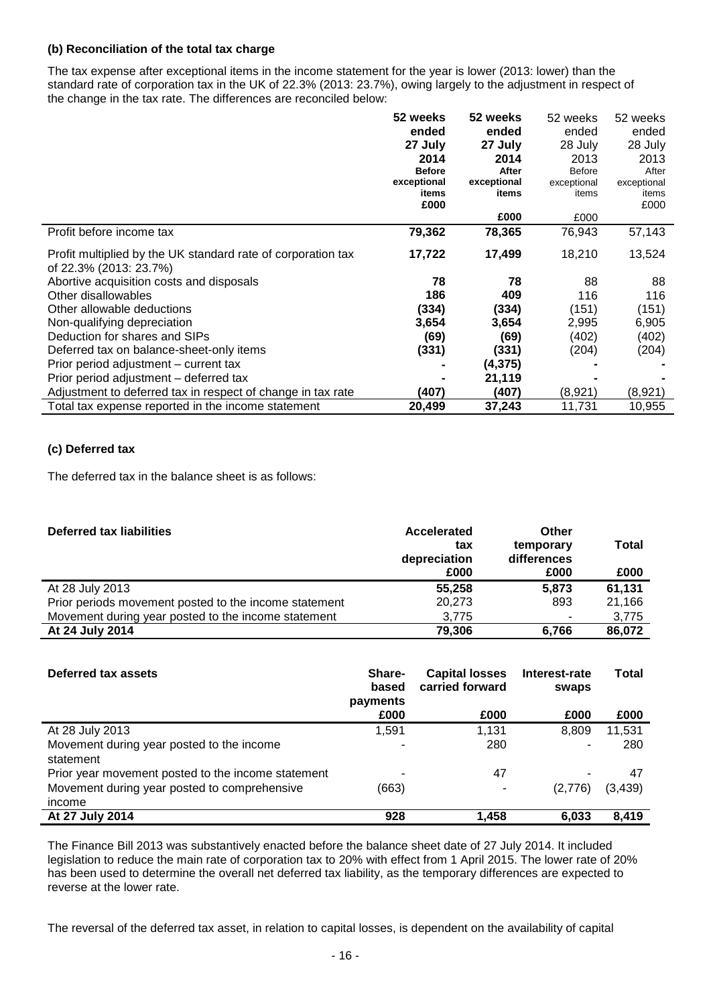## **(b) Reconciliation of the total tax charge**

The tax expense after exceptional items in the income statement for the year is lower (2013: lower) than the standard rate of corporation tax in the UK of 22.3% (2013: 23.7%), owing largely to the adjustment in respect of the change in the tax rate. The differences are reconciled below:

|                                                                                        | 52 weeks      | 52 weeks    | 52 weeks      | 52 weeks    |
|----------------------------------------------------------------------------------------|---------------|-------------|---------------|-------------|
|                                                                                        | ended         | ended       | ended         | ended       |
|                                                                                        | 27 July       | 27 July     | 28 July       | 28 July     |
|                                                                                        | 2014          | 2014        | 2013          | 2013        |
|                                                                                        | <b>Before</b> | After       | <b>Before</b> | After       |
|                                                                                        | exceptional   | exceptional | exceptional   | exceptional |
|                                                                                        | items<br>£000 | items       | items         | items       |
|                                                                                        |               | £000        | £000          | £000        |
| Profit before income tax                                                               | 79,362        | 78,365      | 76,943        | 57,143      |
| Profit multiplied by the UK standard rate of corporation tax<br>of 22.3% (2013: 23.7%) | 17,722        | 17,499      | 18,210        | 13,524      |
| Abortive acquisition costs and disposals                                               | 78            | 78          | 88            | 88          |
| Other disallowables                                                                    | 186           | 409         | 116           | 116         |
| Other allowable deductions                                                             | (334)         | (334)       | (151)         | (151)       |
| Non-qualifying depreciation                                                            | 3,654         | 3,654       | 2,995         | 6,905       |
| Deduction for shares and SIPs                                                          | (69)          | (69)        | (402)         | (402)       |
| Deferred tax on balance-sheet-only items                                               | (331)         | (331)       | (204)         | (204)       |
| Prior period adjustment – current tax                                                  |               | (4, 375)    |               |             |
| Prior period adjustment – deferred tax                                                 |               | 21,119      |               |             |
| Adjustment to deferred tax in respect of change in tax rate                            | (407)         | (407)       | (8,921)       | (8,921)     |
| Total tax expense reported in the income statement                                     | 20,499        | 37,243      | 11,731        | 10,955      |

# **(c) Deferred tax**

The deferred tax in the balance sheet is as follows:

| <b>Deferred tax liabilities</b>                       | Accelerated<br>tax<br>depreciation<br>£000 | Other<br>temporary<br>differences<br>£000 | <b>Total</b><br>£000 |
|-------------------------------------------------------|--------------------------------------------|-------------------------------------------|----------------------|
| At 28 July 2013                                       | 55,258                                     | 5.873                                     | 61,131               |
| Prior periods movement posted to the income statement | 20,273                                     | 893                                       | 21,166               |
| Movement during year posted to the income statement   | 3,775                                      |                                           | 3,775                |
| At 24 July 2014                                       | 79,306                                     | 6.766                                     | 86,072               |

| Deferred tax assets                                    | <b>Share-</b><br>based<br>payments | <b>Capital losses</b><br>carried forward | Interest-rate<br>swaps | Total    |
|--------------------------------------------------------|------------------------------------|------------------------------------------|------------------------|----------|
|                                                        | £000                               | £000                                     | £000                   | £000     |
| At 28 July 2013                                        | 1,591                              | 1.131                                    | 8.809                  | 11,531   |
| Movement during year posted to the income<br>statement |                                    | 280                                      |                        | 280      |
| Prior year movement posted to the income statement     |                                    | 47                                       |                        | 47       |
| Movement during year posted to comprehensive<br>income | (663)                              |                                          | (2,776)                | (3, 439) |
| At 27 July 2014                                        | 928                                | 1,458                                    | 6,033                  | 8,419    |

The Finance Bill 2013 was substantively enacted before the balance sheet date of 27 July 2014. It included legislation to reduce the main rate of corporation tax to 20% with effect from 1 April 2015. The lower rate of 20% has been used to determine the overall net deferred tax liability, as the temporary differences are expected to reverse at the lower rate.

The reversal of the deferred tax asset, in relation to capital losses, is dependent on the availability of capital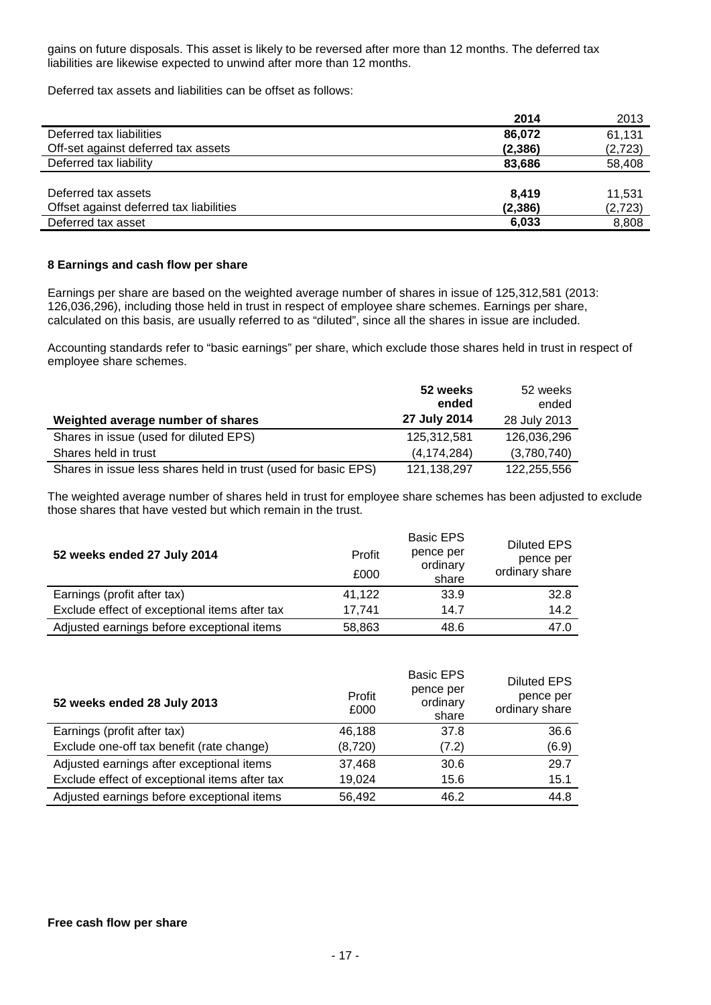gains on future disposals. This asset is likely to be reversed after more than 12 months. The deferred tax liabilities are likewise expected to unwind after more than 12 months.

Deferred tax assets and liabilities can be offset as follows:

|                                         | 2014     | 2013     |
|-----------------------------------------|----------|----------|
| Deferred tax liabilities                | 86,072   | 61,131   |
| Off-set against deferred tax assets     | (2,386)  | (2, 723) |
| Deferred tax liability                  | 83,686   | 58,408   |
|                                         |          |          |
| Deferred tax assets                     | 8.419    | 11,531   |
| Offset against deferred tax liabilities | (2, 386) | (2, 723) |
| Deferred tax asset                      | 6,033    | 8,808    |

### **8 Earnings and cash flow per share**

Earnings per share are based on the weighted average number of shares in issue of 125,312,581 (2013: 126,036,296), including those held in trust in respect of employee share schemes. Earnings per share, calculated on this basis, are usually referred to as "diluted", since all the shares in issue are included.

Accounting standards refer to "basic earnings" per share, which exclude those shares held in trust in respect of employee share schemes.

|                                                                | 52 weeks<br>ended | 52 weeks<br>ended |
|----------------------------------------------------------------|-------------------|-------------------|
| Weighted average number of shares                              | 27 July 2014      | 28 July 2013      |
| Shares in issue (used for diluted EPS)                         | 125.312.581       | 126,036,296       |
| Shares held in trust                                           | (4, 174, 284)     | (3,780,740)       |
| Shares in issue less shares held in trust (used for basic EPS) | 121, 138, 297     | 122,255,556       |

The weighted average number of shares held in trust for employee share schemes has been adjusted to exclude those shares that have vested but which remain in the trust.

| 52 weeks ended 27 July 2014                   | Profit<br>£000 | <b>Basic EPS</b><br>pence per<br>ordinary<br>share | Diluted EPS<br>pence per<br>ordinary share |
|-----------------------------------------------|----------------|----------------------------------------------------|--------------------------------------------|
| Earnings (profit after tax)                   | 41,122         | 33.9                                               | 32.8                                       |
| Exclude effect of exceptional items after tax | 17.741         | 14.7                                               | 14.2                                       |
| Adjusted earnings before exceptional items    | 58,863         | 48.6                                               | 47.0                                       |

| 52 weeks ended 28 July 2013                   | Profit<br>£000 | <b>Basic EPS</b><br>pence per<br>ordinary<br>share | <b>Diluted EPS</b><br>pence per<br>ordinary share |
|-----------------------------------------------|----------------|----------------------------------------------------|---------------------------------------------------|
| Earnings (profit after tax)                   | 46.188         | 37.8                                               | 36.6                                              |
| Exclude one-off tax benefit (rate change)     | (8,720)        | (7.2)                                              | (6.9)                                             |
| Adjusted earnings after exceptional items     | 37,468         | 30.6                                               | 29.7                                              |
| Exclude effect of exceptional items after tax | 19,024         | 15.6                                               | 15.1                                              |
| Adjusted earnings before exceptional items    | 56,492         | 46.2                                               | 44.8                                              |

### **Free cash flow per share**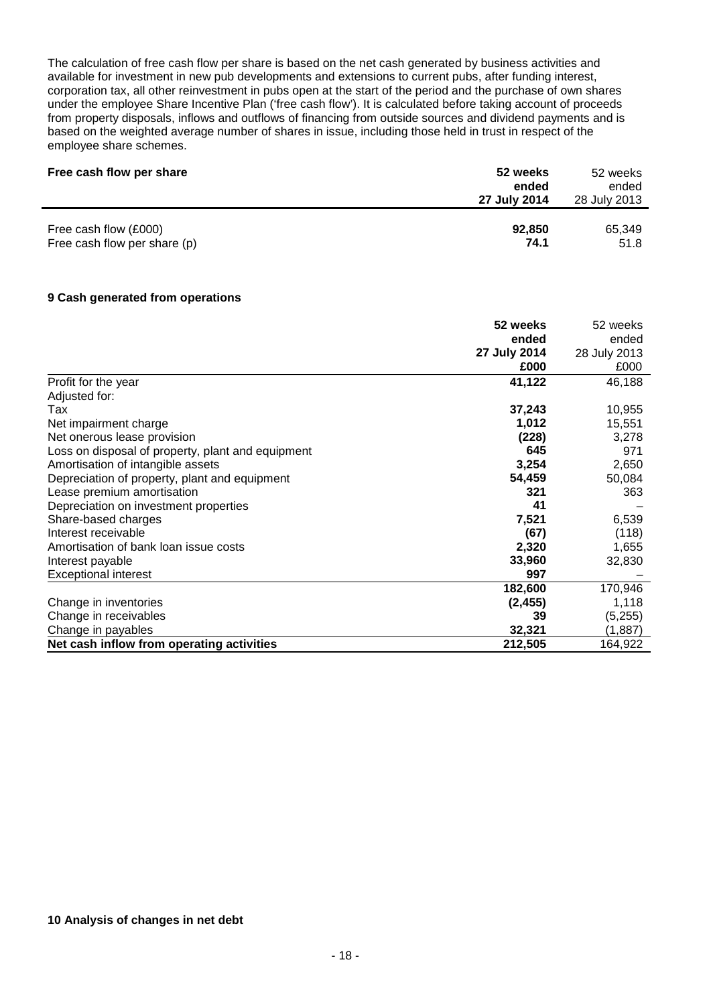The calculation of free cash flow per share is based on the net cash generated by business activities and available for investment in new pub developments and extensions to current pubs, after funding interest, corporation tax, all other reinvestment in pubs open at the start of the period and the purchase of own shares under the employee Share Incentive Plan ('free cash flow'). It is calculated before taking account of proceeds from property disposals, inflows and outflows of financing from outside sources and dividend payments and is based on the weighted average number of shares in issue, including those held in trust in respect of the employee share schemes.

| Free cash flow per share     | 52 weeks<br>ended<br>27 July 2014 | 52 weeks<br>ended<br>28 July 2013 |
|------------------------------|-----------------------------------|-----------------------------------|
| Free cash flow (£000)        | 92,850                            | 65,349                            |
| Free cash flow per share (p) | 74.1                              | 51.8                              |

### **9 Cash generated from operations**

|                                                   | 52 weeks     | 52 weeks     |
|---------------------------------------------------|--------------|--------------|
|                                                   | ended        | ended        |
|                                                   | 27 July 2014 | 28 July 2013 |
|                                                   | £000         | £000         |
| Profit for the year                               | 41,122       | 46,188       |
| Adjusted for:                                     |              |              |
| Tax                                               | 37,243       | 10,955       |
| Net impairment charge                             | 1,012        | 15,551       |
| Net onerous lease provision                       | (228)        | 3,278        |
| Loss on disposal of property, plant and equipment | 645          | 971          |
| Amortisation of intangible assets                 | 3,254        | 2,650        |
| Depreciation of property, plant and equipment     | 54,459       | 50,084       |
| Lease premium amortisation                        | 321          | 363          |
| Depreciation on investment properties             | 41           |              |
| Share-based charges                               | 7,521        | 6,539        |
| Interest receivable                               | (67)         | (118)        |
| Amortisation of bank loan issue costs             | 2,320        | 1,655        |
| Interest payable                                  | 33,960       | 32,830       |
| <b>Exceptional interest</b>                       | 997          |              |
|                                                   | 182,600      | 170,946      |
| Change in inventories                             | (2, 455)     | 1,118        |
| Change in receivables                             | 39           | (5,255)      |
| Change in payables                                | 32,321       | (1,887)      |
| Net cash inflow from operating activities         | 212,505      | 164,922      |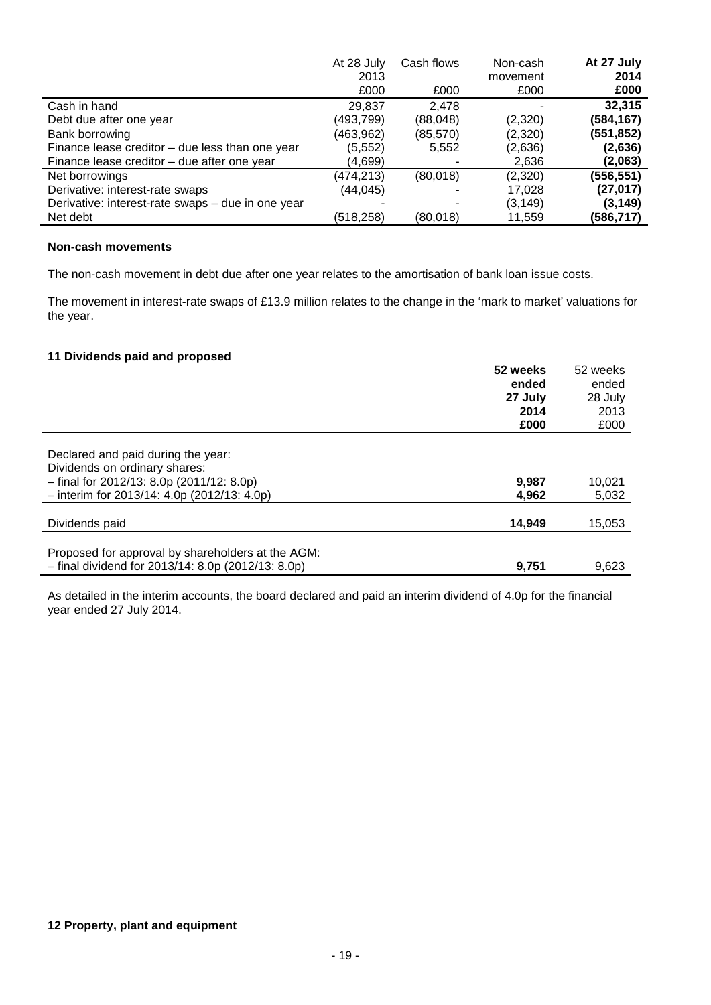|                                                   | At 28 July | Cash flows | Non-cash | At 27 July |
|---------------------------------------------------|------------|------------|----------|------------|
|                                                   | 2013       |            | movement | 2014       |
|                                                   | £000       | £000       | £000     | £000       |
| Cash in hand                                      | 29,837     | 2.478      |          | 32,315     |
| Debt due after one year                           | (493,799)  | (88,048)   | (2,320)  | (584,167)  |
| Bank borrowing                                    | (463,962)  | (85, 570)  | (2,320)  | (551, 852) |
| Finance lease creditor $-$ due less than one year | (5, 552)   | 5,552      | (2,636)  | (2,636)    |
| Finance lease creditor – due after one year       | (4,699)    |            | 2,636    | (2,063)    |
| Net borrowings                                    | (474, 213) | (80,018)   | (2,320)  | (556,551)  |
| Derivative: interest-rate swaps                   | (44,045)   |            | 17,028   | (27,017)   |
| Derivative: interest-rate swaps - due in one year |            |            | (3, 149) | (3,149)    |
| Net debt                                          | (518,258)  | (80,018)   | 11,559   | (586,717)  |

# **Non-cash movements**

The non-cash movement in debt due after one year relates to the amortisation of bank loan issue costs.

The movement in interest-rate swaps of £13.9 million relates to the change in the 'mark to market' valuations for the year.

### **11 Dividends paid and proposed**

|                                                      | 52 weeks | 52 weeks |
|------------------------------------------------------|----------|----------|
|                                                      | ended    | ended    |
|                                                      | 27 July  | 28 July  |
|                                                      | 2014     | 2013     |
|                                                      | £000     | £000     |
|                                                      |          |          |
| Declared and paid during the year:                   |          |          |
| Dividends on ordinary shares:                        |          |          |
| $-$ final for 2012/13: 8.0p (2011/12: 8.0p)          | 9,987    | 10,021   |
| $-$ interim for 2013/14: 4.0p (2012/13: 4.0p)        | 4.962    | 5,032    |
|                                                      |          |          |
| Dividends paid                                       | 14.949   | 15,053   |
|                                                      |          |          |
| Proposed for approval by shareholders at the AGM:    |          |          |
| $-$ final dividend for 2013/14: 8.0p (2012/13: 8.0p) | 9.751    | 9.623    |

As detailed in the interim accounts, the board declared and paid an interim dividend of 4.0p for the financial year ended 27 July 2014.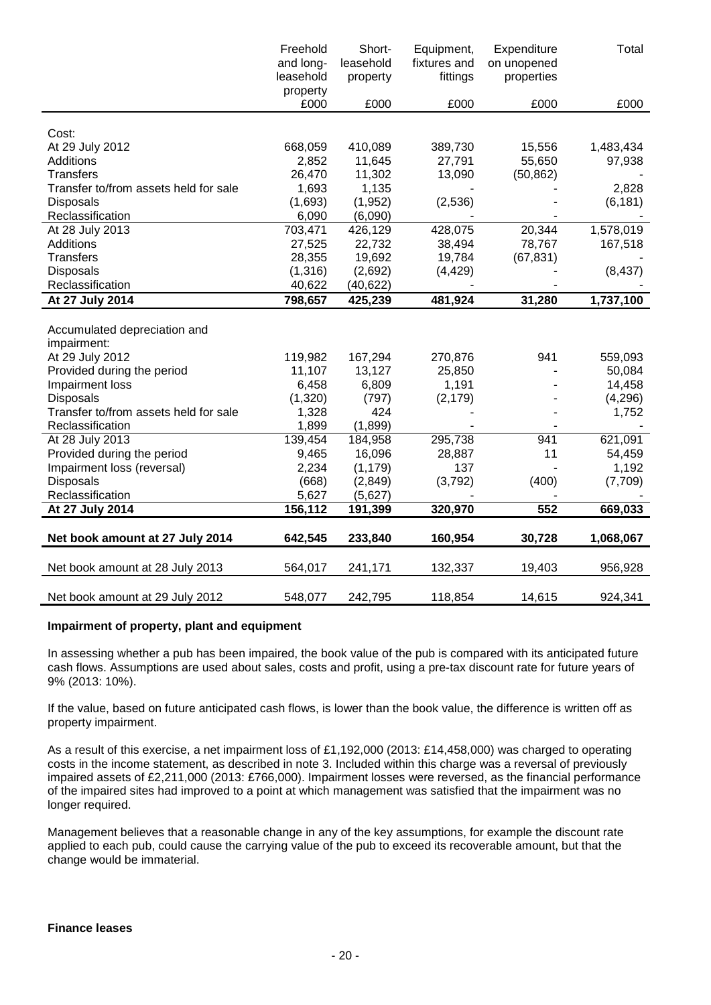|                                       | Freehold  | Short-    | Equipment,   | Expenditure | Total     |
|---------------------------------------|-----------|-----------|--------------|-------------|-----------|
|                                       | and long- | leasehold | fixtures and | on unopened |           |
|                                       | leasehold | property  | fittings     | properties  |           |
|                                       | property  |           |              |             |           |
|                                       | £000      | £000      | £000         | £000        | £000      |
|                                       |           |           |              |             |           |
| Cost:                                 |           |           |              |             |           |
| At 29 July 2012                       | 668,059   | 410,089   | 389,730      | 15,556      | 1,483,434 |
| <b>Additions</b>                      | 2,852     | 11,645    | 27,791       | 55,650      | 97,938    |
| <b>Transfers</b>                      | 26,470    | 11,302    | 13,090       | (50, 862)   |           |
| Transfer to/from assets held for sale | 1,693     | 1,135     |              |             | 2,828     |
| <b>Disposals</b>                      | (1,693)   | (1, 952)  | (2,536)      |             | (6, 181)  |
| Reclassification                      | 6,090     | (6,090)   |              |             |           |
| At 28 July 2013                       | 703,471   | 426,129   | 428,075      | 20,344      | 1,578,019 |
| Additions                             | 27,525    | 22,732    | 38,494       | 78,767      | 167,518   |
| <b>Transfers</b>                      | 28,355    | 19,692    | 19,784       | (67, 831)   |           |
| Disposals                             | (1,316)   | (2,692)   | (4, 429)     |             | (8, 437)  |
| Reclassification                      | 40,622    | (40, 622) |              |             |           |
| At 27 July 2014                       | 798,657   | 425,239   | 481,924      | 31,280      | 1,737,100 |
|                                       |           |           |              |             |           |
| Accumulated depreciation and          |           |           |              |             |           |
| impairment:                           |           |           |              |             |           |
| At 29 July 2012                       | 119,982   | 167,294   | 270,876      | 941         | 559,093   |
| Provided during the period            | 11,107    | 13,127    | 25,850       |             | 50,084    |
| Impairment loss                       | 6,458     | 6,809     | 1,191        |             | 14,458    |
| <b>Disposals</b>                      | (1,320)   | (797)     | (2, 179)     |             | (4,296)   |
| Transfer to/from assets held for sale | 1,328     | 424       |              |             | 1,752     |
| Reclassification                      | 1,899     | (1,899)   |              |             |           |
| At 28 July 2013                       | 139,454   | 184,958   | 295,738      | 941         | 621,091   |
| Provided during the period            | 9,465     | 16,096    | 28,887       | 11          | 54,459    |
| Impairment loss (reversal)            | 2,234     | (1, 179)  | 137          |             | 1,192     |
| <b>Disposals</b>                      | (668)     | (2,849)   | (3,792)      | (400)       | (7,709)   |
| Reclassification                      | 5,627     | (5,627)   |              |             |           |
| At 27 July 2014                       | 156,112   | 191,399   | 320,970      | 552         | 669,033   |
|                                       |           |           |              |             |           |
| Net book amount at 27 July 2014       | 642,545   | 233,840   | 160,954      | 30,728      | 1,068,067 |
|                                       |           |           |              |             |           |
| Net book amount at 28 July 2013       | 564,017   | 241,171   | 132,337      | 19,403      | 956,928   |
|                                       |           |           |              |             |           |
| Net book amount at 29 July 2012       | 548,077   | 242,795   | 118,854      | 14,615      | 924,341   |

### **Impairment of property, plant and equipment**

In assessing whether a pub has been impaired, the book value of the pub is compared with its anticipated future cash flows. Assumptions are used about sales, costs and profit, using a pre-tax discount rate for future years of 9% (2013: 10%).

If the value, based on future anticipated cash flows, is lower than the book value, the difference is written off as property impairment.

As a result of this exercise, a net impairment loss of £1,192,000 (2013: £14,458,000) was charged to operating costs in the income statement, as described in note 3. Included within this charge was a reversal of previously impaired assets of £2,211,000 (2013: £766,000). Impairment losses were reversed, as the financial performance of the impaired sites had improved to a point at which management was satisfied that the impairment was no longer required.

Management believes that a reasonable change in any of the key assumptions, for example the discount rate applied to each pub, could cause the carrying value of the pub to exceed its recoverable amount, but that the change would be immaterial.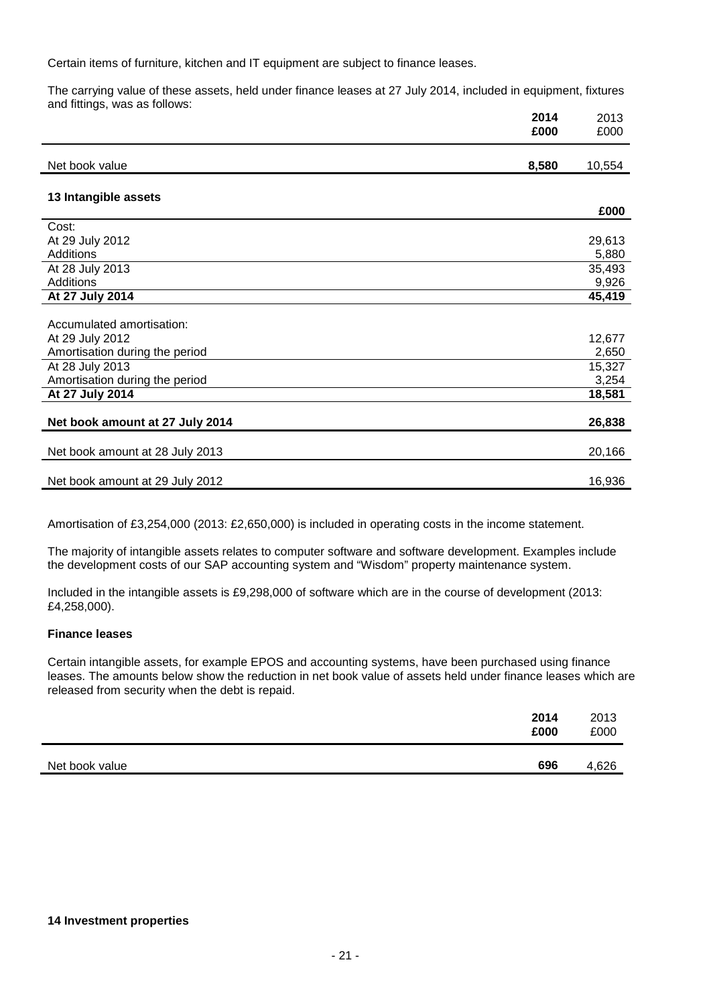Certain items of furniture, kitchen and IT equipment are subject to finance leases.

The carrying value of these assets, held under finance leases at 27 July 2014, included in equipment, fixtures and fittings, was as follows:

|                                 | 2014  | 2013   |
|---------------------------------|-------|--------|
|                                 | £000  | £000   |
| Net book value                  | 8,580 | 10,554 |
|                                 |       |        |
| 13 Intangible assets            |       |        |
|                                 |       | £000   |
| Cost:                           |       |        |
| At 29 July 2012                 |       | 29,613 |
| <b>Additions</b>                |       | 5,880  |
| At 28 July 2013                 |       | 35,493 |
| Additions                       |       | 9,926  |
| At 27 July 2014                 |       | 45,419 |
|                                 |       |        |
| Accumulated amortisation:       |       |        |
| At 29 July 2012                 |       | 12,677 |
| Amortisation during the period  |       | 2,650  |
| At 28 July 2013                 |       | 15,327 |
| Amortisation during the period  |       | 3,254  |
| At 27 July 2014                 |       | 18,581 |
|                                 |       |        |
| Net book amount at 27 July 2014 |       | 26,838 |
|                                 |       |        |
| Net book amount at 28 July 2013 |       | 20,166 |
| Net book amount at 29 July 2012 |       | 16,936 |

Amortisation of £3,254,000 (2013: £2,650,000) is included in operating costs in the income statement.

The majority of intangible assets relates to computer software and software development. Examples include the development costs of our SAP accounting system and "Wisdom" property maintenance system.

Included in the intangible assets is £9,298,000 of software which are in the course of development (2013: £4,258,000).

### **Finance leases**

Certain intangible assets, for example EPOS and accounting systems, have been purchased using finance leases. The amounts below show the reduction in net book value of assets held under finance leases which are released from security when the debt is repaid.

|                | 2014<br>£000 | 2013<br>£000 |
|----------------|--------------|--------------|
| Net book value | 696          | 4,626        |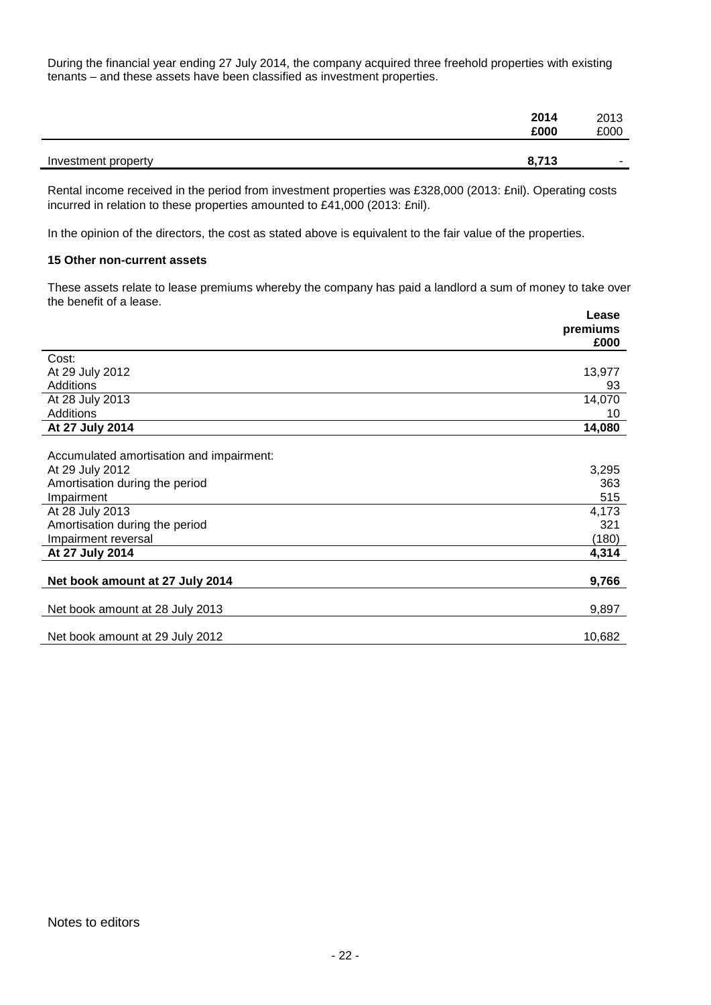During the financial year ending 27 July 2014, the company acquired three freehold properties with existing tenants – and these assets have been classified as investment properties.

| 2014                         | 2013   |
|------------------------------|--------|
| £000                         | £000   |
| 8,713<br>Investment property | $\sim$ |

Rental income received in the period from investment properties was £328,000 (2013: £nil). Operating costs incurred in relation to these properties amounted to £41,000 (2013: £nil).

In the opinion of the directors, the cost as stated above is equivalent to the fair value of the properties.

### **15 Other non-current assets**

These assets relate to lease premiums whereby the company has paid a landlord a sum of money to take over the benefit of a lease.

|                                          | Lease    |
|------------------------------------------|----------|
|                                          | premiums |
|                                          | £000     |
| Cost:                                    |          |
| At 29 July 2012                          | 13,977   |
| <b>Additions</b>                         | 93       |
| At 28 July 2013                          | 14,070   |
| <b>Additions</b>                         | 10       |
| At 27 July 2014                          | 14,080   |
|                                          |          |
| Accumulated amortisation and impairment: |          |
| At 29 July 2012                          | 3,295    |
| Amortisation during the period           | 363      |
| Impairment                               | 515      |
| At 28 July 2013                          | 4,173    |
| Amortisation during the period           | 321      |
| Impairment reversal                      | (180)    |
| At 27 July 2014                          | 4,314    |
|                                          |          |
| Net book amount at 27 July 2014          | 9,766    |
|                                          |          |
| Net book amount at 28 July 2013          | 9,897    |
| Net book amount at 29 July 2012          | 10,682   |
|                                          |          |